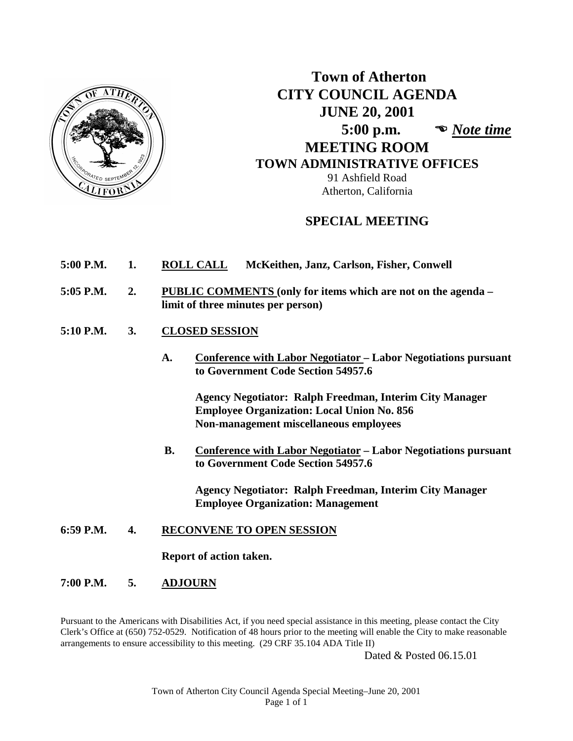

# **Town of Atherton CITY COUNCIL AGENDA JUNE 20, 2001 5:00 p.m.**  *Note time*  **MEETING ROOM TOWN ADMINISTRATIVE OFFICES** 91 Ashfield Road Atherton, California

# **SPECIAL MEETING**

- **5:00 P.M. 1. ROLL CALL McKeithen, Janz, Carlson, Fisher, Conwell**
- **5:05 P.M. 2. PUBLIC COMMENTS (only for items which are not on the agenda – limit of three minutes per person)**
- **5:10 P.M. 3. CLOSED SESSION**
	- **A. Conference with Labor Negotiator – Labor Negotiations pursuant to Government Code Section 54957.6**

**Agency Negotiator: Ralph Freedman, Interim City Manager Employee Organization: Local Union No. 856 Non-management miscellaneous employees**

 **B. Conference with Labor Negotiator – Labor Negotiations pursuant to Government Code Section 54957.6**

**Agency Negotiator: Ralph Freedman, Interim City Manager Employee Organization: Management**

**6:59 P.M. 4. RECONVENE TO OPEN SESSION**

**Report of action taken.**

**7:00 P.M. 5. ADJOURN**

Pursuant to the Americans with Disabilities Act, if you need special assistance in this meeting, please contact the City Clerk's Office at (650) 752-0529. Notification of 48 hours prior to the meeting will enable the City to make reasonable arrangements to ensure accessibility to this meeting. (29 CRF 35.104 ADA Title II)

Dated & Posted 06.15.01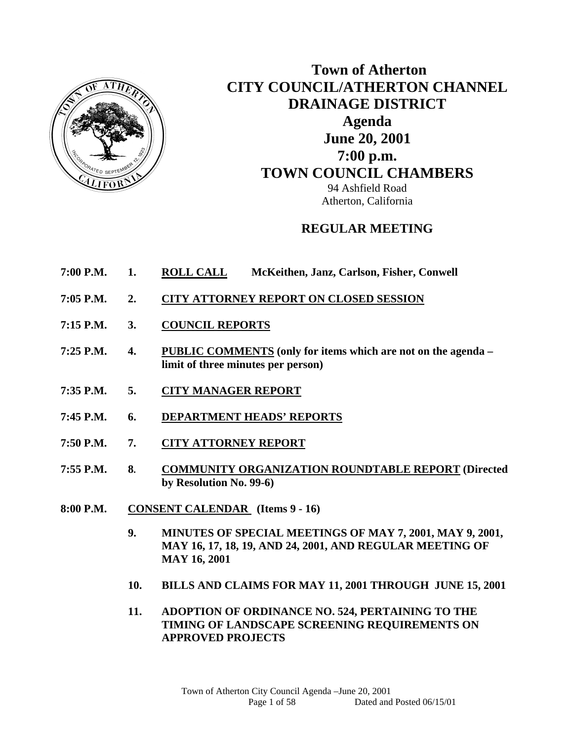

 **Town of Atherton CITY COUNCIL/ATHERTON CHANNEL DRAINAGE DISTRICT Agenda June 20, 2001 7:00 p.m. TOWN COUNCIL CHAMBERS** 94 Ashfield Road Atherton, California

# **REGULAR MEETING**

- **7:00 P.M. 1. ROLL CALL McKeithen, Janz, Carlson, Fisher, Conwell**
- **7:05 P.M. 2. CITY ATTORNEY REPORT ON CLOSED SESSION**
- **7:15 P.M. 3. COUNCIL REPORTS**
- **7:25 P.M. 4. PUBLIC COMMENTS (only for items which are not on the agenda limit of three minutes per person)**
- **7:35 P.M. 5. CITY MANAGER REPORT**
- **7:45 P.M. 6. DEPARTMENT HEADS' REPORTS**
- **7:50 P.M. 7. CITY ATTORNEY REPORT**
- **7:55 P.M. 8. COMMUNITY ORGANIZATION ROUNDTABLE REPORT (Directed by Resolution No. 99-6)**
- **8:00 P.M. CONSENT CALENDAR (Items 9 16)** 
	- **9. MINUTES OF SPECIAL MEETINGS OF MAY 7, 2001, MAY 9, 2001, MAY 16, 17, 18, 19, AND 24, 2001, AND REGULAR MEETING OF MAY 16, 2001**
	- **10. BILLS AND CLAIMS FOR MAY 11, 2001 THROUGH JUNE 15, 2001**
	- **11. ADOPTION OF ORDINANCE NO. 524, PERTAINING TO THE TIMING OF LANDSCAPE SCREENING REQUIREMENTS ON APPROVED PROJECTS**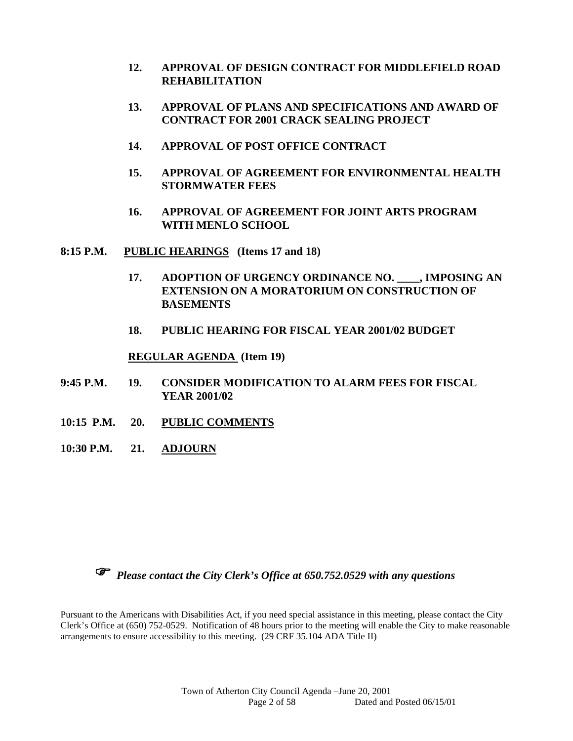- **12. APPROVAL OF DESIGN CONTRACT FOR MIDDLEFIELD ROAD REHABILITATION**
- **13. APPROVAL OF PLANS AND SPECIFICATIONS AND AWARD OF CONTRACT FOR 2001 CRACK SEALING PROJECT**
- **14. APPROVAL OF POST OFFICE CONTRACT**
- **15. APPROVAL OF AGREEMENT FOR ENVIRONMENTAL HEALTH STORMWATER FEES**
- **16. APPROVAL OF AGREEMENT FOR JOINT ARTS PROGRAM WITH MENLO SCHOOL**
- **8:15 P.M. PUBLIC HEARINGS (Items 17 and 18)** 
	- **17. ADOPTION OF URGENCY ORDINANCE NO. \_\_\_\_, IMPOSING AN EXTENSION ON A MORATORIUM ON CONSTRUCTION OF BASEMENTS**
	- **18. PUBLIC HEARING FOR FISCAL YEAR 2001/02 BUDGET**

#### **REGULAR AGENDA (Item 19)**

- **9:45 P.M. 19. CONSIDER MODIFICATION TO ALARM FEES FOR FISCAL YEAR 2001/02**
- **10:15 P.M. 20. PUBLIC COMMENTS**
- **10:30 P.M. 21. ADJOURN**



*Please contact the City Clerk's Office at 650.752.0529 with any questions* 

Pursuant to the Americans with Disabilities Act, if you need special assistance in this meeting, please contact the City Clerk's Office at (650) 752-0529. Notification of 48 hours prior to the meeting will enable the City to make reasonable arrangements to ensure accessibility to this meeting. (29 CRF 35.104 ADA Title II)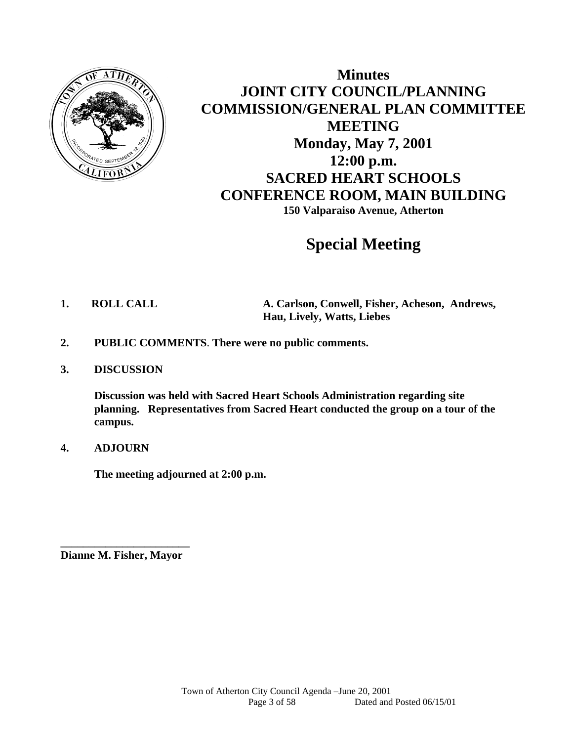

**Minutes JOINT CITY COUNCIL/PLANNING COMMISSION/GENERAL PLAN COMMITTEE MEETING Monday, May 7, 2001 12:00 p.m. SACRED HEART SCHOOLS CONFERENCE ROOM, MAIN BUILDING 150 Valparaiso Avenue, Atherton** 

# **Special Meeting**

**1. ROLL CALL A. Carlson, Conwell, Fisher, Acheson, Andrews, Hau, Lively, Watts, Liebes** 

- **2. PUBLIC COMMENTS**. **There were no public comments.**
- **3. DISCUSSION**

**Discussion was held with Sacred Heart Schools Administration regarding site planning. Representatives from Sacred Heart conducted the group on a tour of the campus.** 

# **4. ADJOURN**

 **The meeting adjourned at 2:00 p.m.** 

**\_\_\_\_\_\_\_\_\_\_\_\_\_\_\_\_\_\_\_\_\_\_\_ Dianne M. Fisher, Mayor**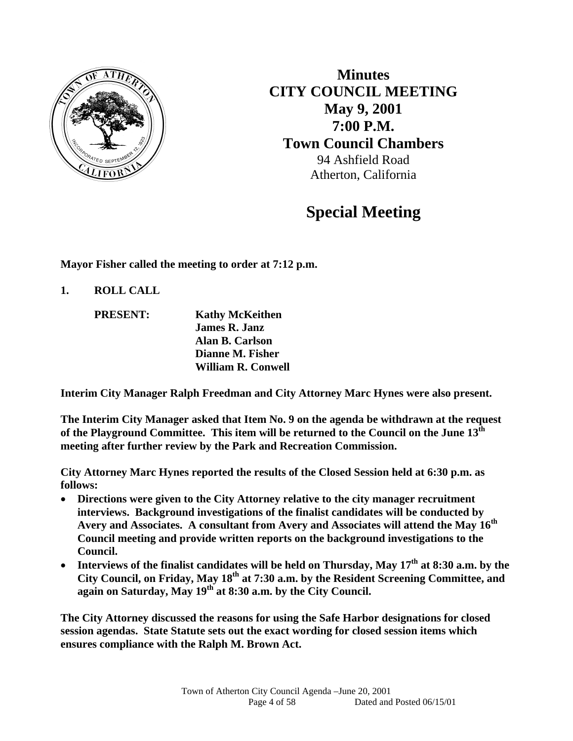

**Minutes CITY COUNCIL MEETING May 9, 2001 7:00 P.M. Town Council Chambers**  94 Ashfield Road Atherton, California

# **Special Meeting**

**Mayor Fisher called the meeting to order at 7:12 p.m.** 

**1. ROLL CALL** 

 **PRESENT: Kathy McKeithen James R. Janz Alan B. Carlson Dianne M. Fisher William R. Conwell** 

**Interim City Manager Ralph Freedman and City Attorney Marc Hynes were also present.** 

**The Interim City Manager asked that Item No. 9 on the agenda be withdrawn at the request of the Playground Committee. This item will be returned to the Council on the June 13th meeting after further review by the Park and Recreation Commission.** 

**City Attorney Marc Hynes reported the results of the Closed Session held at 6:30 p.m. as follows:** 

- **Directions were given to the City Attorney relative to the city manager recruitment interviews. Background investigations of the finalist candidates will be conducted by Avery and Associates. A consultant from Avery and Associates will attend the May 16th Council meeting and provide written reports on the background investigations to the Council.**
- **Interviews of the finalist candidates will be held on Thursday, May 17th at 8:30 a.m. by the City Council, on Friday, May 18th at 7:30 a.m. by the Resident Screening Committee, and again on Saturday, May 19th at 8:30 a.m. by the City Council.**

**The City Attorney discussed the reasons for using the Safe Harbor designations for closed session agendas. State Statute sets out the exact wording for closed session items which ensures compliance with the Ralph M. Brown Act.**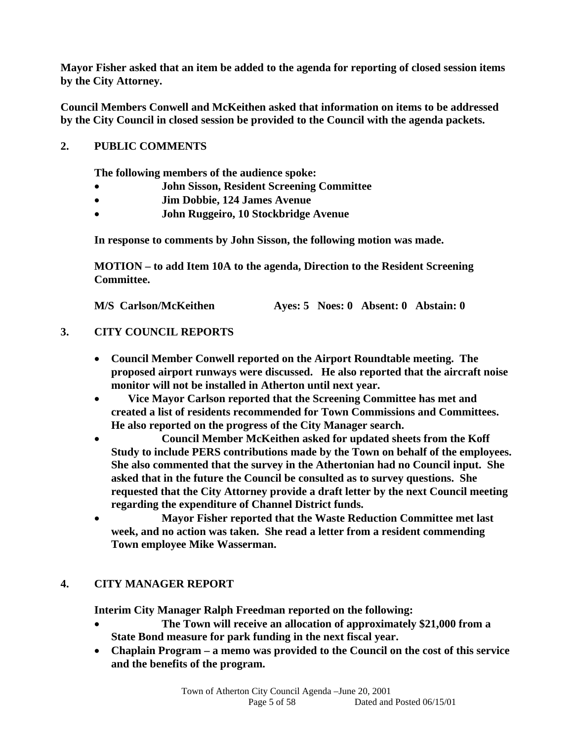**Mayor Fisher asked that an item be added to the agenda for reporting of closed session items by the City Attorney.** 

**Council Members Conwell and McKeithen asked that information on items to be addressed by the City Council in closed session be provided to the Council with the agenda packets.** 

# **2. PUBLIC COMMENTS**

 **The following members of the audience spoke:** 

- **John Sisson, Resident Screening Committee**
- **Jim Dobbie, 124 James Avenue**
- **John Ruggeiro, 10 Stockbridge Avenue**

**In response to comments by John Sisson, the following motion was made.** 

**MOTION – to add Item 10A to the agenda, Direction to the Resident Screening Committee.** 

**M/S Carlson/McKeithen Ayes: 5 Noes: 0 Absent: 0 Abstain: 0** 

# **3. CITY COUNCIL REPORTS**

- **Council Member Conwell reported on the Airport Roundtable meeting. The proposed airport runways were discussed. He also reported that the aircraft noise monitor will not be installed in Atherton until next year.**
- **Vice Mayor Carlson reported that the Screening Committee has met and created a list of residents recommended for Town Commissions and Committees. He also reported on the progress of the City Manager search.**
- **Council Member McKeithen asked for updated sheets from the Koff Study to include PERS contributions made by the Town on behalf of the employees. She also commented that the survey in the Athertonian had no Council input. She asked that in the future the Council be consulted as to survey questions. She requested that the City Attorney provide a draft letter by the next Council meeting regarding the expenditure of Channel District funds.**
- **Mayor Fisher reported that the Waste Reduction Committee met last week, and no action was taken. She read a letter from a resident commending Town employee Mike Wasserman.**

# **4. CITY MANAGER REPORT**

 **Interim City Manager Ralph Freedman reported on the following:** 

- **The Town will receive an allocation of approximately \$21,000 from a State Bond measure for park funding in the next fiscal year.**
- **Chaplain Program a memo was provided to the Council on the cost of this service and the benefits of the program.**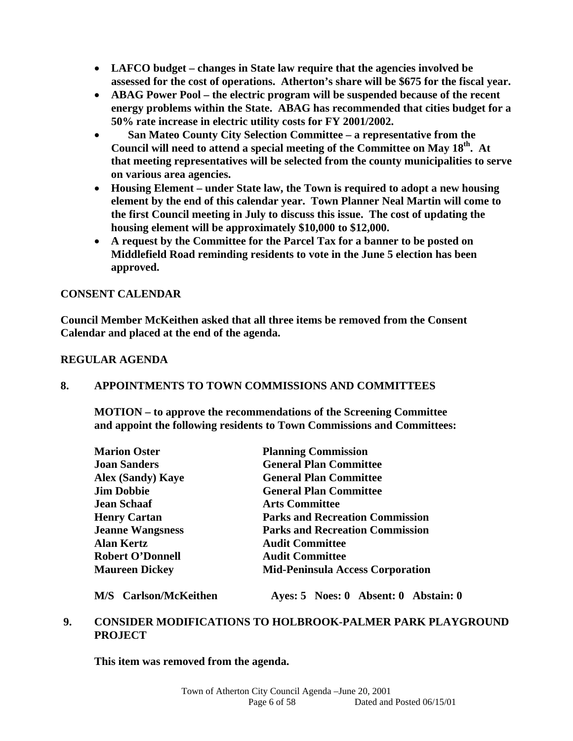- **LAFCO budget changes in State law require that the agencies involved be assessed for the cost of operations. Atherton's share will be \$675 for the fiscal year.**
- **ABAG Power Pool the electric program will be suspended because of the recent energy problems within the State. ABAG has recommended that cities budget for a 50% rate increase in electric utility costs for FY 2001/2002.**
- **San Mateo County City Selection Committee a representative from the**  Council will need to attend a special meeting of the Committee on May 18<sup>th</sup>. At **that meeting representatives will be selected from the county municipalities to serve on various area agencies.**
- **Housing Element under State law, the Town is required to adopt a new housing element by the end of this calendar year. Town Planner Neal Martin will come to the first Council meeting in July to discuss this issue. The cost of updating the housing element will be approximately \$10,000 to \$12,000.**
- **A request by the Committee for the Parcel Tax for a banner to be posted on Middlefield Road reminding residents to vote in the June 5 election has been approved.**

# **CONSENT CALENDAR**

**Council Member McKeithen asked that all three items be removed from the Consent Calendar and placed at the end of the agenda.** 

# **REGULAR AGENDA**

# **8. APPOINTMENTS TO TOWN COMMISSIONS AND COMMITTEES**

 **MOTION – to approve the recommendations of the Screening Committee and appoint the following residents to Town Commissions and Committees:** 

| <b>Marion Oster</b>      | <b>Planning Commission</b>              |
|--------------------------|-----------------------------------------|
| <b>Joan Sanders</b>      | <b>General Plan Committee</b>           |
| <b>Alex (Sandy) Kaye</b> | <b>General Plan Committee</b>           |
| <b>Jim Dobbie</b>        | <b>General Plan Committee</b>           |
| <b>Jean Schaaf</b>       | <b>Arts Committee</b>                   |
| <b>Henry Cartan</b>      | <b>Parks and Recreation Commission</b>  |
| <b>Jeanne Wangsness</b>  | <b>Parks and Recreation Commission</b>  |
| <b>Alan Kertz</b>        | <b>Audit Committee</b>                  |
| <b>Robert O'Donnell</b>  | <b>Audit Committee</b>                  |
| <b>Maureen Dickey</b>    | <b>Mid-Peninsula Access Corporation</b> |

 **M/S Carlson/McKeithen Ayes: 5 Noes: 0 Absent: 0 Abstain: 0** 

# **9. CONSIDER MODIFICATIONS TO HOLBROOK-PALMER PARK PLAYGROUND PROJECT**

 **This item was removed from the agenda.**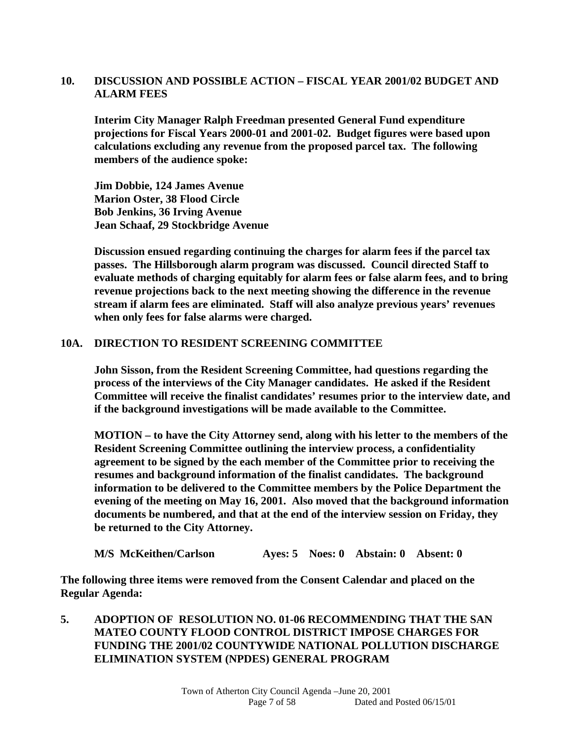# **10. DISCUSSION AND POSSIBLE ACTION – FISCAL YEAR 2001/02 BUDGET AND ALARM FEES**

 **Interim City Manager Ralph Freedman presented General Fund expenditure projections for Fiscal Years 2000-01 and 2001-02. Budget figures were based upon calculations excluding any revenue from the proposed parcel tax. The following members of the audience spoke:** 

 **Jim Dobbie, 124 James Avenue Marion Oster, 38 Flood Circle Bob Jenkins, 36 Irving Avenue Jean Schaaf, 29 Stockbridge Avenue** 

**Discussion ensued regarding continuing the charges for alarm fees if the parcel tax passes. The Hillsborough alarm program was discussed. Council directed Staff to evaluate methods of charging equitably for alarm fees or false alarm fees, and to bring revenue projections back to the next meeting showing the difference in the revenue stream if alarm fees are eliminated. Staff will also analyze previous years' revenues when only fees for false alarms were charged.** 

#### **10A. DIRECTION TO RESIDENT SCREENING COMMITTEE**

 **John Sisson, from the Resident Screening Committee, had questions regarding the process of the interviews of the City Manager candidates. He asked if the Resident Committee will receive the finalist candidates' resumes prior to the interview date, and if the background investigations will be made available to the Committee.** 

**MOTION – to have the City Attorney send, along with his letter to the members of the Resident Screening Committee outlining the interview process, a confidentiality agreement to be signed by the each member of the Committee prior to receiving the resumes and background information of the finalist candidates. The background information to be delivered to the Committee members by the Police Department the evening of the meeting on May 16, 2001. Also moved that the background information documents be numbered, and that at the end of the interview session on Friday, they be returned to the City Attorney.** 

**M/S McKeithen/Carlson Ayes: 5 Noes: 0 Abstain: 0 Absent: 0** 

**The following three items were removed from the Consent Calendar and placed on the Regular Agenda:** 

**5. ADOPTION OF RESOLUTION NO. 01-06 RECOMMENDING THAT THE SAN MATEO COUNTY FLOOD CONTROL DISTRICT IMPOSE CHARGES FOR FUNDING THE 2001/02 COUNTYWIDE NATIONAL POLLUTION DISCHARGE ELIMINATION SYSTEM (NPDES) GENERAL PROGRAM**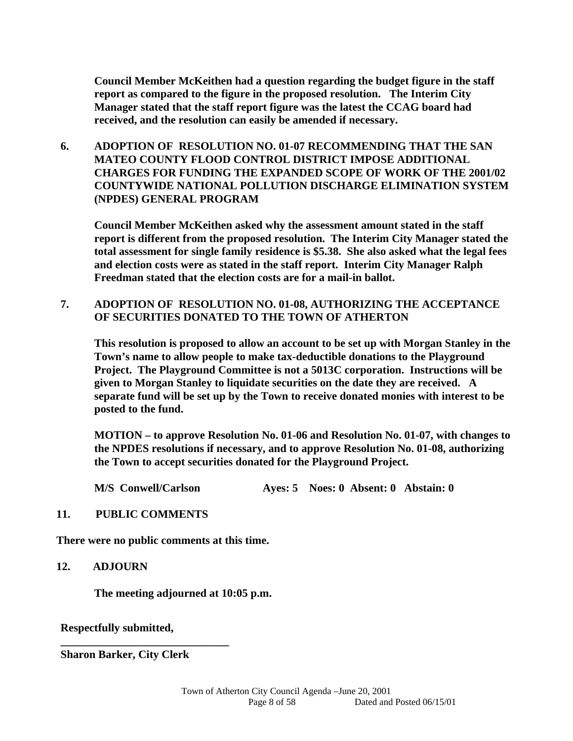**Council Member McKeithen had a question regarding the budget figure in the staff report as compared to the figure in the proposed resolution. The Interim City Manager stated that the staff report figure was the latest the CCAG board had received, and the resolution can easily be amended if necessary.** 

**6. ADOPTION OF RESOLUTION NO. 01-07 RECOMMENDING THAT THE SAN MATEO COUNTY FLOOD CONTROL DISTRICT IMPOSE ADDITIONAL CHARGES FOR FUNDING THE EXPANDED SCOPE OF WORK OF THE 2001/02 COUNTYWIDE NATIONAL POLLUTION DISCHARGE ELIMINATION SYSTEM (NPDES) GENERAL PROGRAM** 

 **Council Member McKeithen asked why the assessment amount stated in the staff report is different from the proposed resolution. The Interim City Manager stated the total assessment for single family residence is \$5.38. She also asked what the legal fees and election costs were as stated in the staff report. Interim City Manager Ralph Freedman stated that the election costs are for a mail-in ballot.** 

**7. ADOPTION OF RESOLUTION NO. 01-08, AUTHORIZING THE ACCEPTANCE OF SECURITIES DONATED TO THE TOWN OF ATHERTON** 

 **This resolution is proposed to allow an account to be set up with Morgan Stanley in the Town's name to allow people to make tax-deductible donations to the Playground Project. The Playground Committee is not a 5013C corporation. Instructions will be given to Morgan Stanley to liquidate securities on the date they are received. A separate fund will be set up by the Town to receive donated monies with interest to be posted to the fund.** 

**MOTION – to approve Resolution No. 01-06 and Resolution No. 01-07, with changes to the NPDES resolutions if necessary, and to approve Resolution No. 01-08, authorizing the Town to accept securities donated for the Playground Project.** 

 **M/S Conwell/Carlson Ayes: 5 Noes: 0 Absent: 0 Abstain: 0** 

#### **11. PUBLIC COMMENTS**

**There were no public comments at this time.** 

#### **12. ADJOURN**

 **The meeting adjourned at 10:05 p.m.** 

**Respectfully submitted,** 

**Sharon Barker, City Clerk** 

**\_\_\_\_\_\_\_\_\_\_\_\_\_\_\_\_\_\_\_\_\_\_\_\_\_\_\_\_\_\_**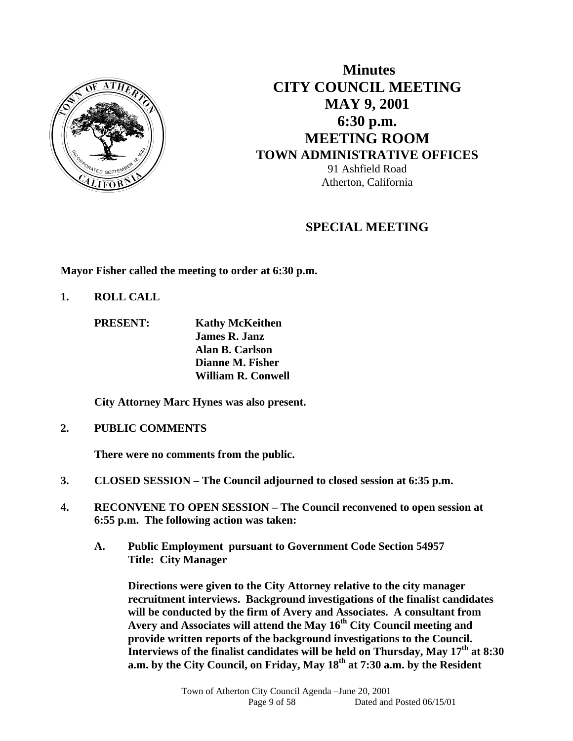

# **Minutes CITY COUNCIL MEETING MAY 9, 2001 6:30 p.m. MEETING ROOM TOWN ADMINISTRATIVE OFFICES**  91 Ashfield Road Atherton, California

# **SPECIAL MEETING**

**Mayor Fisher called the meeting to order at 6:30 p.m.** 

**1. ROLL CALL** 

 **PRESENT: Kathy McKeithen James R. Janz Alan B. Carlson Dianne M. Fisher William R. Conwell** 

**City Attorney Marc Hynes was also present.** 

**2. PUBLIC COMMENTS** 

 **There were no comments from the public.** 

- **3. CLOSED SESSION The Council adjourned to closed session at 6:35 p.m.**
- **4. RECONVENE TO OPEN SESSION The Council reconvened to open session at 6:55 p.m. The following action was taken:** 
	- **A. Public Employment pursuant to Government Code Section 54957 Title: City Manager**

 **Directions were given to the City Attorney relative to the city manager recruitment interviews. Background investigations of the finalist candidates will be conducted by the firm of Avery and Associates. A consultant from Avery and Associates will attend the May 16th City Council meeting and provide written reports of the background investigations to the Council. Interviews of the finalist candidates will be held on Thursday, May 17th at 8:30 a.m. by the City Council, on Friday, May 18th at 7:30 a.m. by the Resident**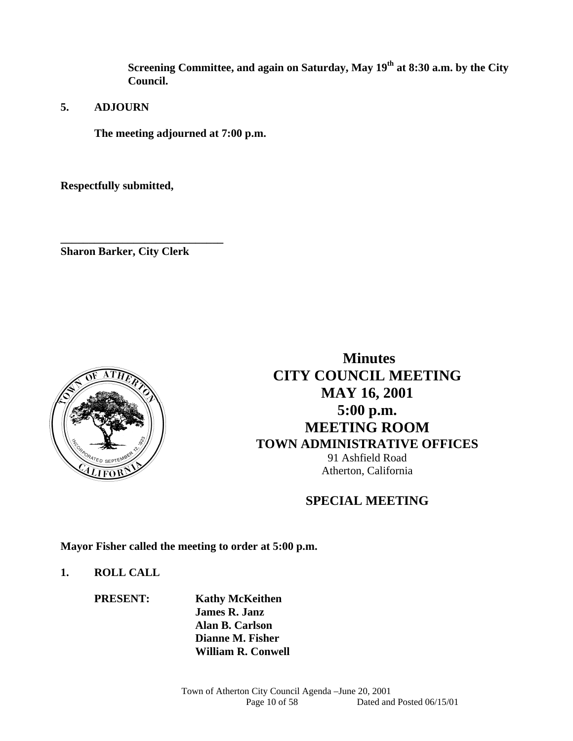**Screening Committee, and again on Saturday, May 19th at 8:30 a.m. by the City Council.** 

**5. ADJOURN** 

 **The meeting adjourned at 7:00 p.m.** 

**Respectfully submitted,** 

**Sharon Barker, City Clerk** 

**\_\_\_\_\_\_\_\_\_\_\_\_\_\_\_\_\_\_\_\_\_\_\_\_\_\_\_\_\_** 



 **Minutes CITY COUNCIL MEETING MAY 16, 2001 5:00 p.m. MEETING ROOM TOWN ADMINISTRATIVE OFFICES**  91 Ashfield Road Atherton, California

# **SPECIAL MEETING**

**Mayor Fisher called the meeting to order at 5:00 p.m.** 

# **1. ROLL CALL**

 **PRESENT: Kathy McKeithen James R. Janz Alan B. Carlson Dianne M. Fisher William R. Conwell**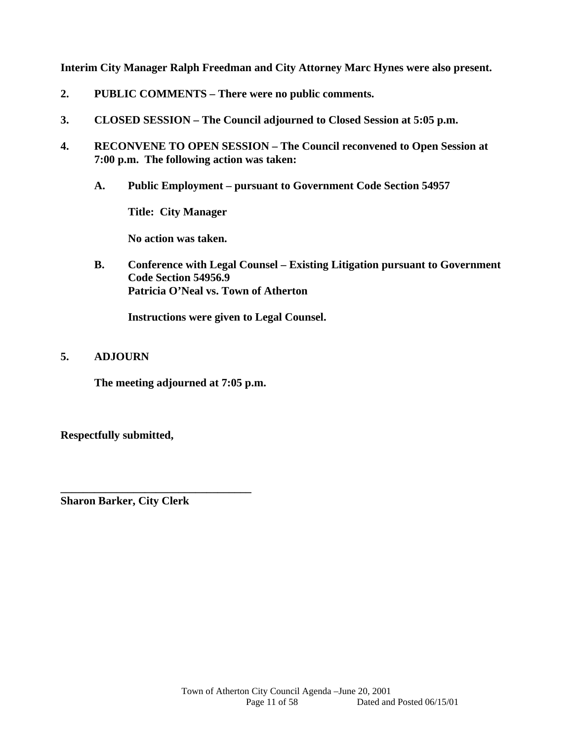**Interim City Manager Ralph Freedman and City Attorney Marc Hynes were also present.** 

- **2. PUBLIC COMMENTS There were no public comments.**
- **3. CLOSED SESSION The Council adjourned to Closed Session at 5:05 p.m.**
- **4. RECONVENE TO OPEN SESSION The Council reconvened to Open Session at 7:00 p.m. The following action was taken:** 
	- **A. Public Employment pursuant to Government Code Section 54957**

 **Title: City Manager** 

 **No action was taken.** 

 **B. Conference with Legal Counsel – Existing Litigation pursuant to Government Code Section 54956.9 Patricia O'Neal vs. Town of Atherton** 

 **Instructions were given to Legal Counsel.** 

# **5. ADJOURN**

 **The meeting adjourned at 7:05 p.m.** 

**Respectfully submitted,** 

**\_\_\_\_\_\_\_\_\_\_\_\_\_\_\_\_\_\_\_\_\_\_\_\_\_\_\_\_\_\_\_\_\_\_ Sharon Barker, City Clerk**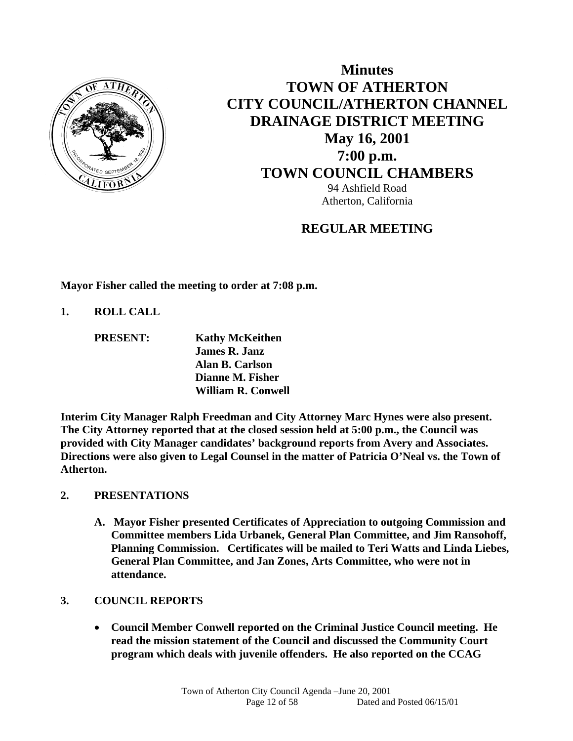

# **Minutes TOWN OF ATHERTON CITY COUNCIL/ATHERTON CHANNEL DRAINAGE DISTRICT MEETING May 16, 2001 7:00 p.m. TOWN COUNCIL CHAMBERS** 94 Ashfield Road Atherton, California

# **REGULAR MEETING**

**Mayor Fisher called the meeting to order at 7:08 p.m.** 

**1. ROLL CALL** 

 **PRESENT: Kathy McKeithen James R. Janz Alan B. Carlson Dianne M. Fisher William R. Conwell** 

**Interim City Manager Ralph Freedman and City Attorney Marc Hynes were also present. The City Attorney reported that at the closed session held at 5:00 p.m., the Council was provided with City Manager candidates' background reports from Avery and Associates. Directions were also given to Legal Counsel in the matter of Patricia O'Neal vs. the Town of Atherton.** 

# **2. PRESENTATIONS**

**A. Mayor Fisher presented Certificates of Appreciation to outgoing Commission and Committee members Lida Urbanek, General Plan Committee, and Jim Ransohoff, Planning Commission. Certificates will be mailed to Teri Watts and Linda Liebes, General Plan Committee, and Jan Zones, Arts Committee, who were not in attendance.** 

# **3. COUNCIL REPORTS**

 **Council Member Conwell reported on the Criminal Justice Council meeting. He read the mission statement of the Council and discussed the Community Court program which deals with juvenile offenders. He also reported on the CCAG**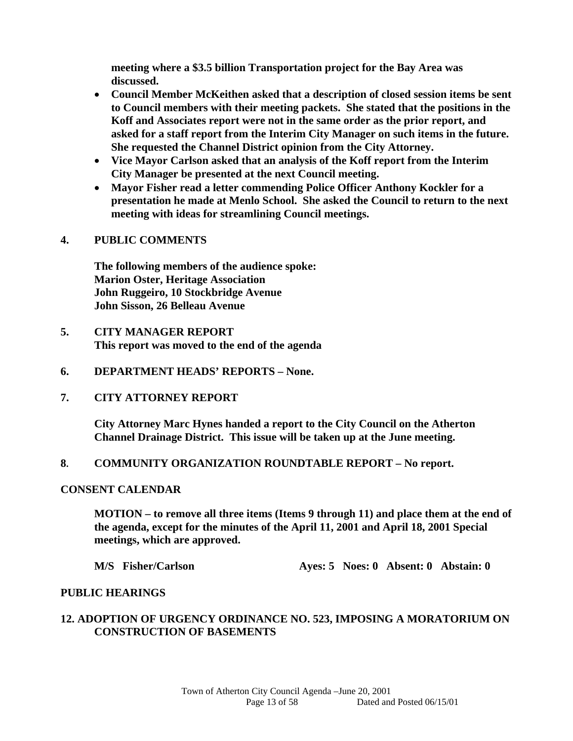**meeting where a \$3.5 billion Transportation project for the Bay Area was discussed.** 

- **Council Member McKeithen asked that a description of closed session items be sent to Council members with their meeting packets. She stated that the positions in the Koff and Associates report were not in the same order as the prior report, and asked for a staff report from the Interim City Manager on such items in the future. She requested the Channel District opinion from the City Attorney.**
- **Vice Mayor Carlson asked that an analysis of the Koff report from the Interim City Manager be presented at the next Council meeting.**
- **Mayor Fisher read a letter commending Police Officer Anthony Kockler for a presentation he made at Menlo School. She asked the Council to return to the next meeting with ideas for streamlining Council meetings.**

# **4. PUBLIC COMMENTS**

**The following members of the audience spoke: Marion Oster, Heritage Association John Ruggeiro, 10 Stockbridge Avenue John Sisson, 26 Belleau Avenue** 

- **5. CITY MANAGER REPORT This report was moved to the end of the agenda**
- **6. DEPARTMENT HEADS' REPORTS None.**

#### **7. CITY ATTORNEY REPORT**

**City Attorney Marc Hynes handed a report to the City Council on the Atherton Channel Drainage District. This issue will be taken up at the June meeting.** 

**8. COMMUNITY ORGANIZATION ROUNDTABLE REPORT – No report.** 

#### **CONSENT CALENDAR**

**MOTION – to remove all three items (Items 9 through 11) and place them at the end of the agenda, except for the minutes of the April 11, 2001 and April 18, 2001 Special meetings, which are approved.** 

**M/S Fisher/Carlson Ayes: 5 Noes: 0 Absent: 0 Abstain: 0** 

#### **PUBLIC HEARINGS**

# **12. ADOPTION OF URGENCY ORDINANCE NO. 523, IMPOSING A MORATORIUM ON CONSTRUCTION OF BASEMENTS**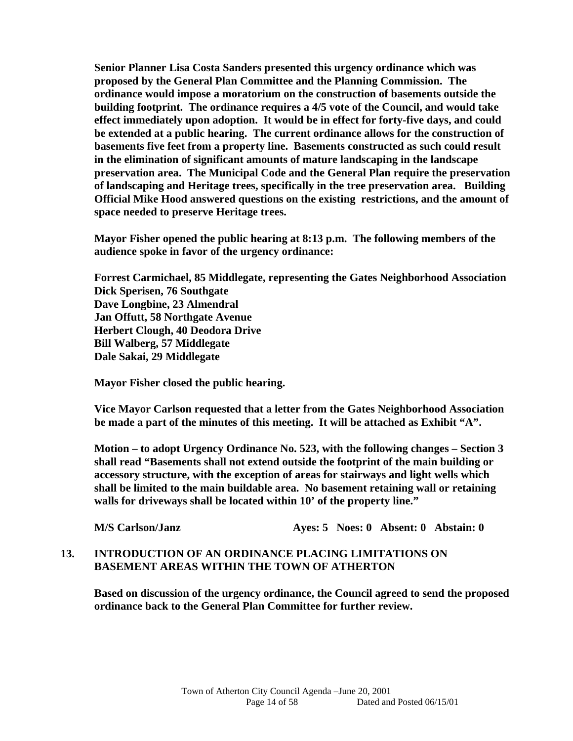**Senior Planner Lisa Costa Sanders presented this urgency ordinance which was proposed by the General Plan Committee and the Planning Commission. The ordinance would impose a moratorium on the construction of basements outside the building footprint. The ordinance requires a 4/5 vote of the Council, and would take effect immediately upon adoption. It would be in effect for forty-five days, and could be extended at a public hearing. The current ordinance allows for the construction of basements five feet from a property line. Basements constructed as such could result in the elimination of significant amounts of mature landscaping in the landscape preservation area. The Municipal Code and the General Plan require the preservation of landscaping and Heritage trees, specifically in the tree preservation area. Building Official Mike Hood answered questions on the existing restrictions, and the amount of space needed to preserve Heritage trees.** 

**Mayor Fisher opened the public hearing at 8:13 p.m. The following members of the audience spoke in favor of the urgency ordinance:** 

 **Forrest Carmichael, 85 Middlegate, representing the Gates Neighborhood Association Dick Sperisen, 76 Southgate Dave Longbine, 23 Almendral Jan Offutt, 58 Northgate Avenue Herbert Clough, 40 Deodora Drive Bill Walberg, 57 Middlegate Dale Sakai, 29 Middlegate** 

 **Mayor Fisher closed the public hearing.** 

 **Vice Mayor Carlson requested that a letter from the Gates Neighborhood Association be made a part of the minutes of this meeting. It will be attached as Exhibit "A".** 

 **Motion – to adopt Urgency Ordinance No. 523, with the following changes – Section 3 shall read "Basements shall not extend outside the footprint of the main building or accessory structure, with the exception of areas for stairways and light wells which shall be limited to the main buildable area. No basement retaining wall or retaining walls for driveways shall be located within 10' of the property line."** 

 **M/S Carlson/Janz Ayes: 5 Noes: 0 Absent: 0 Abstain: 0** 

#### **13. INTRODUCTION OF AN ORDINANCE PLACING LIMITATIONS ON BASEMENT AREAS WITHIN THE TOWN OF ATHERTON**

**Based on discussion of the urgency ordinance, the Council agreed to send the proposed ordinance back to the General Plan Committee for further review.**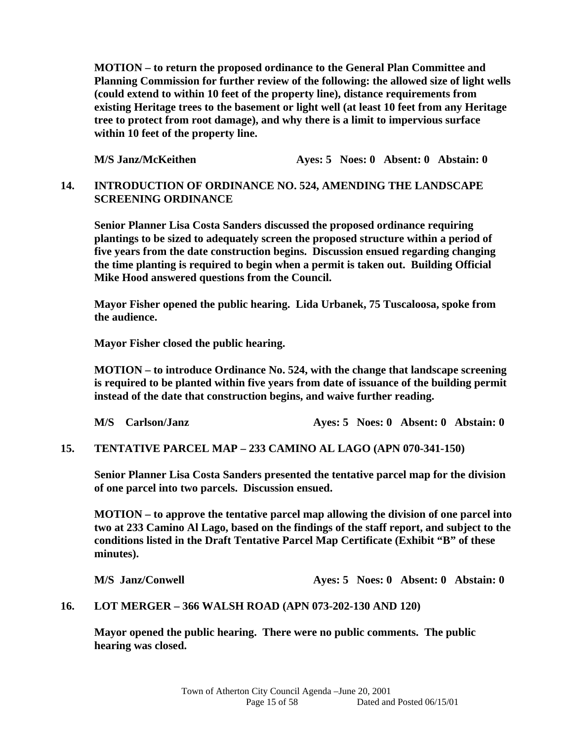**MOTION – to return the proposed ordinance to the General Plan Committee and Planning Commission for further review of the following: the allowed size of light wells (could extend to within 10 feet of the property line), distance requirements from existing Heritage trees to the basement or light well (at least 10 feet from any Heritage tree to protect from root damage), and why there is a limit to impervious surface within 10 feet of the property line.** 

**M/S Janz/McKeithen Ayes: 5 Noes: 0 Absent: 0 Abstain: 0** 

#### **14. INTRODUCTION OF ORDINANCE NO. 524, AMENDING THE LANDSCAPE SCREENING ORDINANCE**

**Senior Planner Lisa Costa Sanders discussed the proposed ordinance requiring plantings to be sized to adequately screen the proposed structure within a period of five years from the date construction begins. Discussion ensued regarding changing the time planting is required to begin when a permit is taken out. Building Official Mike Hood answered questions from the Council.** 

 **Mayor Fisher opened the public hearing. Lida Urbanek, 75 Tuscaloosa, spoke from the audience.** 

 **Mayor Fisher closed the public hearing.** 

**MOTION – to introduce Ordinance No. 524, with the change that landscape screening is required to be planted within five years from date of issuance of the building permit instead of the date that construction begins, and waive further reading.** 

 **M/S Carlson/Janz Ayes: 5 Noes: 0 Absent: 0 Abstain: 0** 

#### **15. TENTATIVE PARCEL MAP – 233 CAMINO AL LAGO (APN 070-341-150)**

**Senior Planner Lisa Costa Sanders presented the tentative parcel map for the division of one parcel into two parcels. Discussion ensued.** 

**MOTION – to approve the tentative parcel map allowing the division of one parcel into two at 233 Camino Al Lago, based on the findings of the staff report, and subject to the conditions listed in the Draft Tentative Parcel Map Certificate (Exhibit "B" of these minutes).** 

 **M/S Janz/Conwell Ayes: 5 Noes: 0 Absent: 0 Abstain: 0** 

#### **16. LOT MERGER – 366 WALSH ROAD (APN 073-202-130 AND 120)**

**Mayor opened the public hearing. There were no public comments. The public hearing was closed.**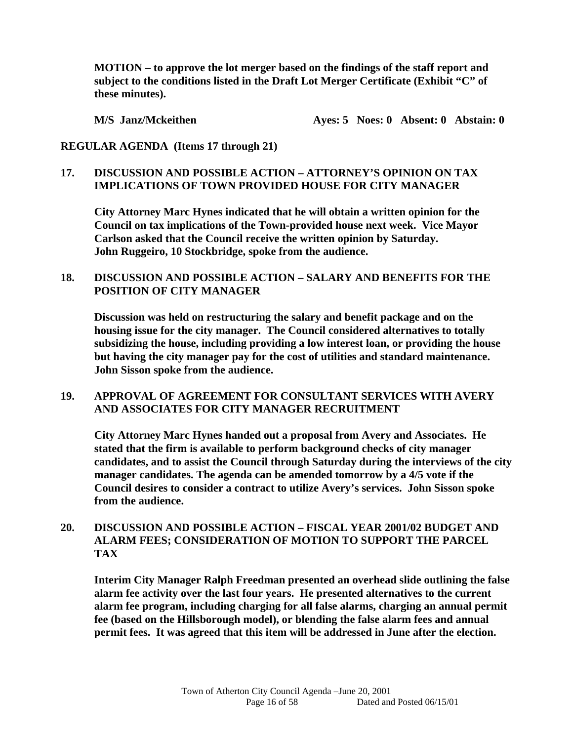**MOTION – to approve the lot merger based on the findings of the staff report and subject to the conditions listed in the Draft Lot Merger Certificate (Exhibit "C" of these minutes).** 

**M/S** Janz/Mckeithen **Ayes: 5 Noes: 0 Absent: 0 Abstain: 0** 

**REGULAR AGENDA (Items 17 through 21)** 

# **17. DISCUSSION AND POSSIBLE ACTION – ATTORNEY'S OPINION ON TAX IMPLICATIONS OF TOWN PROVIDED HOUSE FOR CITY MANAGER**

 **City Attorney Marc Hynes indicated that he will obtain a written opinion for the Council on tax implications of the Town-provided house next week. Vice Mayor Carlson asked that the Council receive the written opinion by Saturday. John Ruggeiro, 10 Stockbridge, spoke from the audience.** 

# **18. DISCUSSION AND POSSIBLE ACTION – SALARY AND BENEFITS FOR THE POSITION OF CITY MANAGER**

 **Discussion was held on restructuring the salary and benefit package and on the housing issue for the city manager. The Council considered alternatives to totally subsidizing the house, including providing a low interest loan, or providing the house but having the city manager pay for the cost of utilities and standard maintenance. John Sisson spoke from the audience.** 

# **19. APPROVAL OF AGREEMENT FOR CONSULTANT SERVICES WITH AVERY AND ASSOCIATES FOR CITY MANAGER RECRUITMENT**

 **City Attorney Marc Hynes handed out a proposal from Avery and Associates. He stated that the firm is available to perform background checks of city manager candidates, and to assist the Council through Saturday during the interviews of the city manager candidates. The agenda can be amended tomorrow by a 4/5 vote if the Council desires to consider a contract to utilize Avery's services. John Sisson spoke from the audience.** 

#### **20. DISCUSSION AND POSSIBLE ACTION – FISCAL YEAR 2001/02 BUDGET AND ALARM FEES; CONSIDERATION OF MOTION TO SUPPORT THE PARCEL TAX**

**Interim City Manager Ralph Freedman presented an overhead slide outlining the false alarm fee activity over the last four years. He presented alternatives to the current alarm fee program, including charging for all false alarms, charging an annual permit fee (based on the Hillsborough model), or blending the false alarm fees and annual permit fees. It was agreed that this item will be addressed in June after the election.**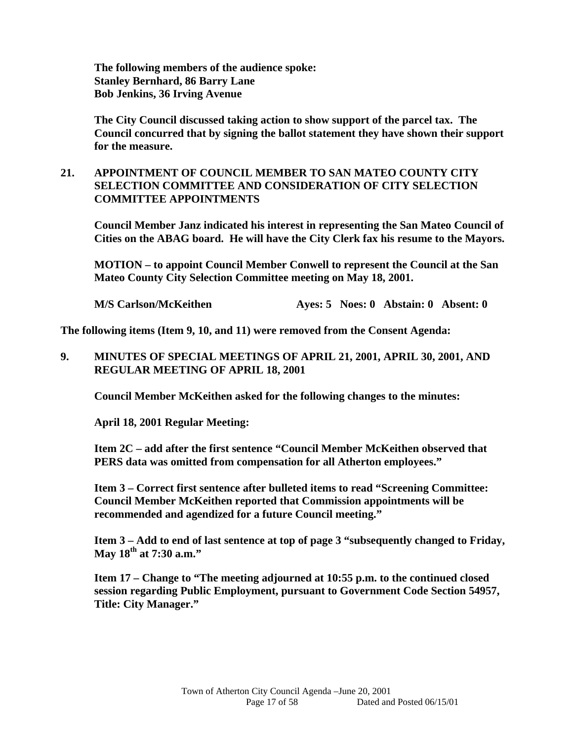**The following members of the audience spoke: Stanley Bernhard, 86 Barry Lane Bob Jenkins, 36 Irving Avenue** 

**The City Council discussed taking action to show support of the parcel tax. The Council concurred that by signing the ballot statement they have shown their support for the measure.** 

# **21. APPOINTMENT OF COUNCIL MEMBER TO SAN MATEO COUNTY CITY SELECTION COMMITTEE AND CONSIDERATION OF CITY SELECTION COMMITTEE APPOINTMENTS**

**Council Member Janz indicated his interest in representing the San Mateo Council of Cities on the ABAG board. He will have the City Clerk fax his resume to the Mayors.** 

 **MOTION – to appoint Council Member Conwell to represent the Council at the San Mateo County City Selection Committee meeting on May 18, 2001.** 

**M/S Carlson/McKeithen Ayes: 5 Noes: 0 Abstain: 0 Absent: 0** 

**The following items (Item 9, 10, and 11) were removed from the Consent Agenda:** 

#### **9. MINUTES OF SPECIAL MEETINGS OF APRIL 21, 2001, APRIL 30, 2001, AND REGULAR MEETING OF APRIL 18, 2001**

**Council Member McKeithen asked for the following changes to the minutes:** 

**April 18, 2001 Regular Meeting:** 

**Item 2C – add after the first sentence "Council Member McKeithen observed that PERS data was omitted from compensation for all Atherton employees."** 

**Item 3 – Correct first sentence after bulleted items to read "Screening Committee: Council Member McKeithen reported that Commission appointments will be recommended and agendized for a future Council meeting."** 

**Item 3 – Add to end of last sentence at top of page 3 "subsequently changed to Friday, May 18th at 7:30 a.m."** 

 **Item 17 – Change to "The meeting adjourned at 10:55 p.m. to the continued closed session regarding Public Employment, pursuant to Government Code Section 54957, Title: City Manager."**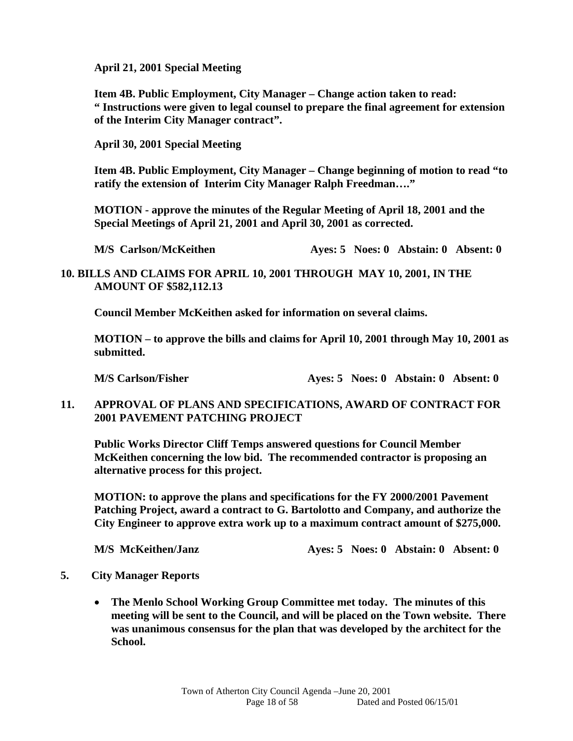**April 21, 2001 Special Meeting** 

**Item 4B. Public Employment, City Manager – Change action taken to read: " Instructions were given to legal counsel to prepare the final agreement for extension of the Interim City Manager contract".** 

 **April 30, 2001 Special Meeting** 

 **Item 4B. Public Employment, City Manager – Change beginning of motion to read "to ratify the extension of Interim City Manager Ralph Freedman…."** 

**MOTION - approve the minutes of the Regular Meeting of April 18, 2001 and the Special Meetings of April 21, 2001 and April 30, 2001 as corrected.** 

 **M/S Carlson/ McKeithen Ayes: 5 Noes: 0 Abstain: 0 Absent: 0** 

# **10. BILLS AND CLAIMS FOR APRIL 10, 2001 THROUGH MAY 10, 2001, IN THE AMOUNT OF \$582,112.13**

**Council Member McKeithen asked for information on several claims.** 

 **MOTION – to approve the bills and claims for April 10, 2001 through May 10, 2001 as submitted.** 

 **M/S Carlson/Fisher Ayes: 5 Noes: 0 Abstain: 0 Absent: 0** 

**11. APPROVAL OF PLANS AND SPECIFICATIONS, AWARD OF CONTRACT FOR 2001 PAVEMENT PATCHING PROJECT** 

 **Public Works Director Cliff Temps answered questions for Council Member McKeithen concerning the low bid. The recommended contractor is proposing an alternative process for this project.** 

 **MOTION: to approve the plans and specifications for the FY 2000/2001 Pavement Patching Project, award a contract to G. Bartolotto and Company, and authorize the City Engineer to approve extra work up to a maximum contract amount of \$275,000.** 

**M/S McKeithen/Janz Ayes: 5 Noes: 0 Abstain: 0 Absent: 0** 

- **5. City Manager Reports** 
	- **The Menlo School Working Group Committee met today. The minutes of this meeting will be sent to the Council, and will be placed on the Town website. There was unanimous consensus for the plan that was developed by the architect for the School.**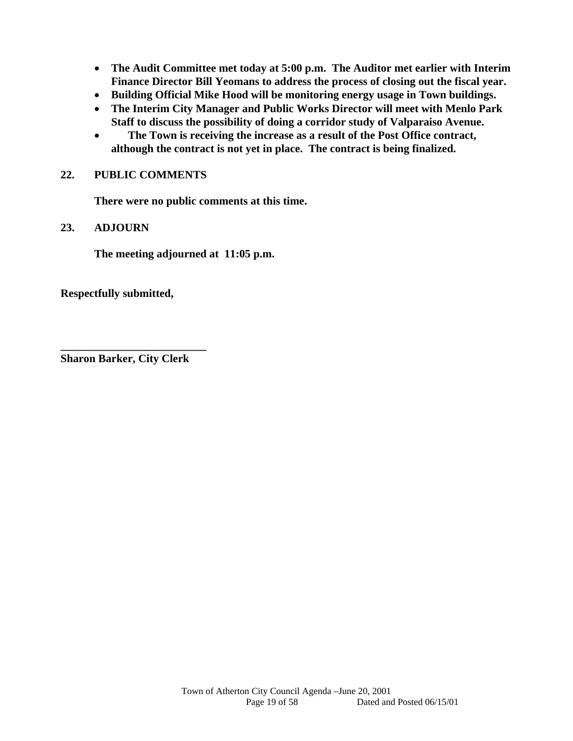- **The Audit Committee met today at 5:00 p.m. The Auditor met earlier with Interim Finance Director Bill Yeomans to address the process of closing out the fiscal year.**
- **Building Official Mike Hood will be monitoring energy usage in Town buildings.**
- **The Interim City Manager and Public Works Director will meet with Menlo Park Staff to discuss the possibility of doing a corridor study of Valparaiso Avenue.**
- **The Town is receiving the increase as a result of the Post Office contract, although the contract is not yet in place. The contract is being finalized.**

#### **22. PUBLIC COMMENTS**

 **There were no public comments at this time.** 

#### **23. ADJOURN**

**The meeting adjourned at 11:05 p.m.** 

**Respectfully submitted,** 

**Sharon Barker, City Clerk** 

**\_\_\_\_\_\_\_\_\_\_\_\_\_\_\_\_\_\_\_\_\_\_\_\_\_\_**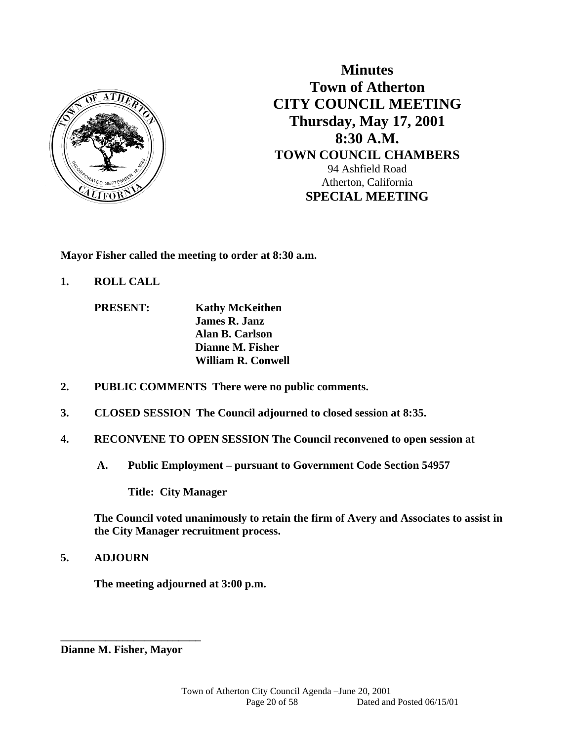

**Minutes Town of Atherton CITY COUNCIL MEETING Thursday, May 17, 2001 8:30 A.M. TOWN COUNCIL CHAMBERS**  94 Ashfield Road Atherton, California **SPECIAL MEETING** 

**Mayor Fisher called the meeting to order at 8:30 a.m.** 

**1. ROLL CALL** 

 **PRESENT: Kathy McKeithen James R. Janz Alan B. Carlson Dianne M. Fisher William R. Conwell** 

- **2. PUBLIC COMMENTS There were no public comments.**
- **3. CLOSED SESSION The Council adjourned to closed session at 8:35.**
- **4. RECONVENE TO OPEN SESSION The Council reconvened to open session at** 
	- **A. Public Employment pursuant to Government Code Section 54957**

 **Title: City Manager** 

**The Council voted unanimously to retain the firm of Avery and Associates to assist in the City Manager recruitment process.** 

**5. ADJOURN** 

 **The meeting adjourned at 3:00 p.m.** 

**Dianne M. Fisher, Mayor** 

**\_\_\_\_\_\_\_\_\_\_\_\_\_\_\_\_\_\_\_\_\_\_\_\_\_**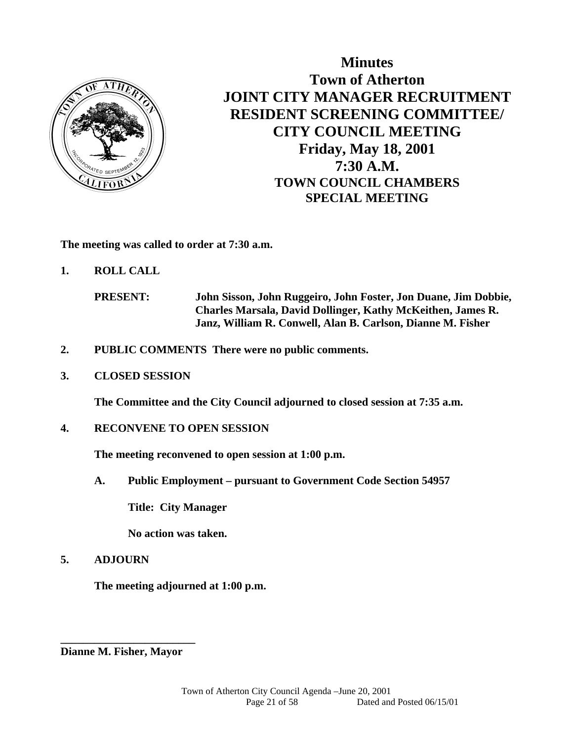

**Minutes Town of Atherton JOINT CITY MANAGER RECRUITMENT RESIDENT SCREENING COMMITTEE/ CITY COUNCIL MEETING Friday, May 18, 2001 7:30 A.M. TOWN COUNCIL CHAMBERS SPECIAL MEETING** 

**The meeting was called to order at 7:30 a.m.** 

**1. ROLL CALL** 

- **2. PUBLIC COMMENTS There were no public comments.**
- **3. CLOSED SESSION**

 **The Committee and the City Council adjourned to closed session at 7:35 a.m.** 

#### **4. RECONVENE TO OPEN SESSION**

**The meeting reconvened to open session at 1:00 p.m.** 

 **A. Public Employment – pursuant to Government Code Section 54957** 

 **Title: City Manager** 

 **No action was taken.** 

# **5. ADJOURN**

 **The meeting adjourned at 1:00 p.m.** 

**Dianne M. Fisher, Mayor** 

**\_\_\_\_\_\_\_\_\_\_\_\_\_\_\_\_\_\_\_\_\_\_\_\_** 

**PRESENT: John Sisson, John Ruggeiro, John Foster, Jon Duane, Jim Dobbie, Charles Marsala, David Dollinger, Kathy McKeithen, James R. Janz, William R. Conwell, Alan B. Carlson, Dianne M. Fisher**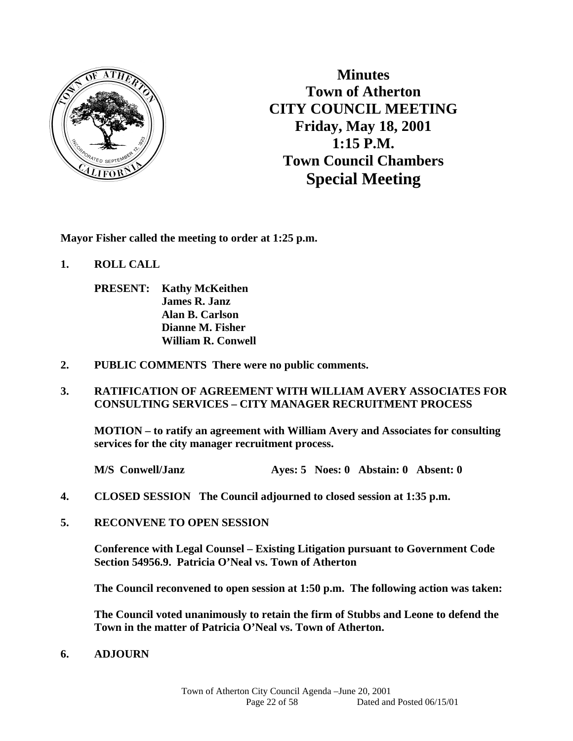

**Minutes Town of Atherton CITY COUNCIL MEETING Friday, May 18, 2001 1:15 P.M. Town Council Chambers Special Meeting** 

**Mayor Fisher called the meeting to order at 1:25 p.m.** 

- **1. ROLL CALL** 
	- **PRESENT: Kathy McKeithen James R. Janz Alan B. Carlson Dianne M. Fisher William R. Conwell**
- **2. PUBLIC COMMENTS There were no public comments.**
- **3. RATIFICATION OF AGREEMENT WITH WILLIAM AVERY ASSOCIATES FOR CONSULTING SERVICES – CITY MANAGER RECRUITMENT PROCESS**

 **MOTION – to ratify an agreement with William Avery and Associates for consulting services for the city manager recruitment process.** 

 **M/S Conwell/Janz Ayes: 5 Noes: 0 Abstain: 0 Absent: 0** 

- **4. CLOSED SESSION The Council adjourned to closed session at 1:35 p.m.**
- **5. RECONVENE TO OPEN SESSION**

 **Conference with Legal Counsel – Existing Litigation pursuant to Government Code Section 54956.9. Patricia O'Neal vs. Town of Atherton** 

 **The Council reconvened to open session at 1:50 p.m. The following action was taken:** 

 **The Council voted unanimously to retain the firm of Stubbs and Leone to defend the Town in the matter of Patricia O'Neal vs. Town of Atherton.** 

**6. ADJOURN**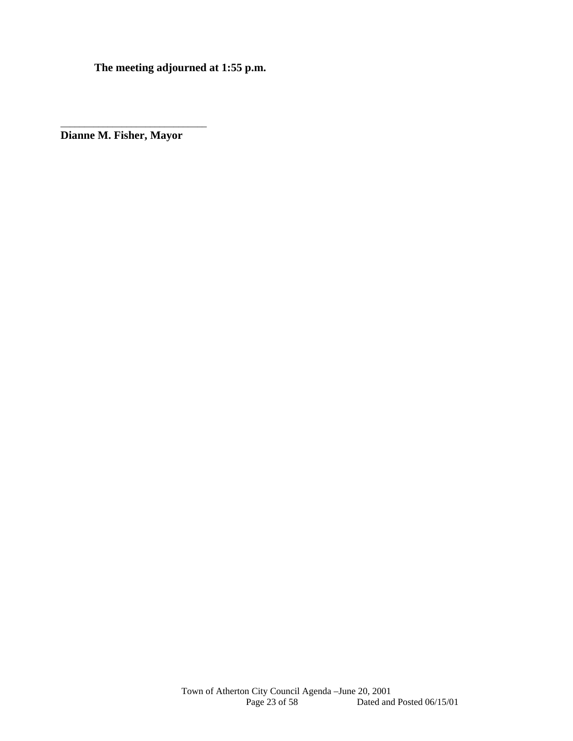**The meeting adjourned at 1:55 p.m.** 

**Dianne M. Fisher, Mayor** 

\_\_\_\_\_\_\_\_\_\_\_\_\_\_\_\_\_\_\_\_\_\_\_\_\_\_\_\_\_\_\_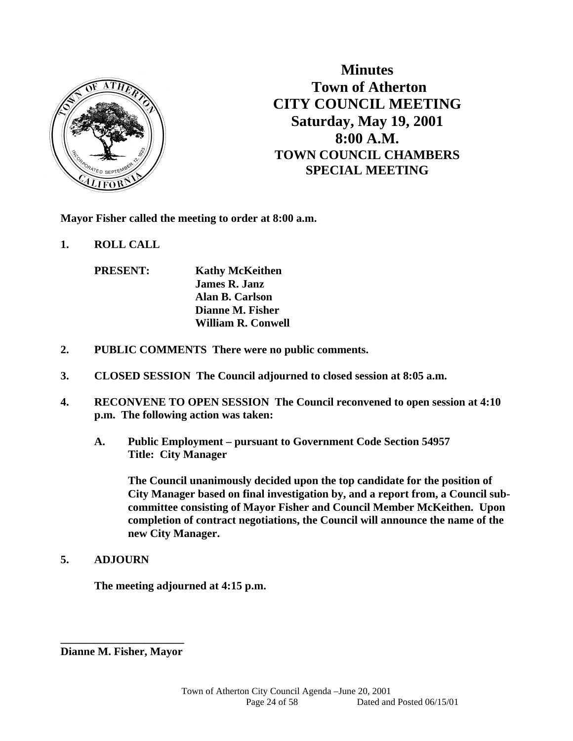

**Minutes Town of Atherton CITY COUNCIL MEETING Saturday, May 19, 2001 8:00 A.M. TOWN COUNCIL CHAMBERS SPECIAL MEETING** 

**Mayor Fisher called the meeting to order at 8:00 a.m.** 

**1. ROLL CALL** 

 **PRESENT: Kathy McKeithen James R. Janz Alan B. Carlson Dianne M. Fisher William R. Conwell** 

- **2. PUBLIC COMMENTS There were no public comments.**
- **3. CLOSED SESSION The Council adjourned to closed session at 8:05 a.m.**
- **4. RECONVENE TO OPEN SESSION The Council reconvened to open session at 4:10 p.m. The following action was taken:** 
	- **A. Public Employment pursuant to Government Code Section 54957 Title: City Manager**

 **The Council unanimously decided upon the top candidate for the position of City Manager based on final investigation by, and a report from, a Council subcommittee consisting of Mayor Fisher and Council Member McKeithen. Upon completion of contract negotiations, the Council will announce the name of the new City Manager.** 

**5. ADJOURN** 

 **The meeting adjourned at 4:15 p.m.** 

**\_\_\_\_\_\_\_\_\_\_\_\_\_\_\_\_\_\_\_\_\_\_ Dianne M. Fisher, Mayor**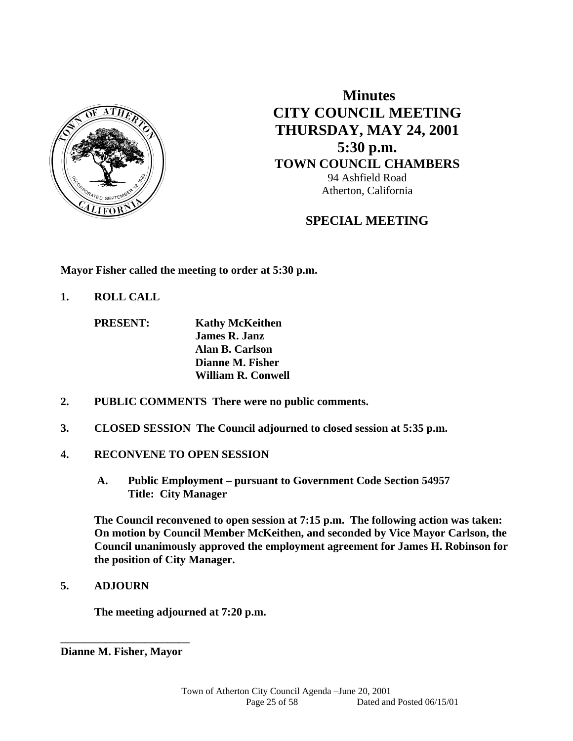

 **Minutes CITY COUNCIL MEETING THURSDAY, MAY 24, 2001 5:30 p.m. TOWN COUNCIL CHAMBERS**  94 Ashfield Road Atherton, California

# **SPECIAL MEETING**

**Mayor Fisher called the meeting to order at 5:30 p.m.** 

**1. ROLL CALL** 

 **PRESENT: Kathy McKeithen James R. Janz Alan B. Carlson Dianne M. Fisher William R. Conwell** 

- **2. PUBLIC COMMENTS There were no public comments.**
- **3. CLOSED SESSION The Council adjourned to closed session at 5:35 p.m.**
- **4. RECONVENE TO OPEN SESSION** 
	- **A. Public Employment pursuant to Government Code Section 54957 Title: City Manager**

 **The Council reconvened to open session at 7:15 p.m. The following action was taken: On motion by Council Member McKeithen, and seconded by Vice Mayor Carlson, the Council unanimously approved the employment agreement for James H. Robinson for the position of City Manager.** 

**5. ADJOURN** 

 **The meeting adjourned at 7:20 p.m.** 

**\_\_\_\_\_\_\_\_\_\_\_\_\_\_\_\_\_\_\_\_\_\_\_ Dianne M. Fisher, Mayor**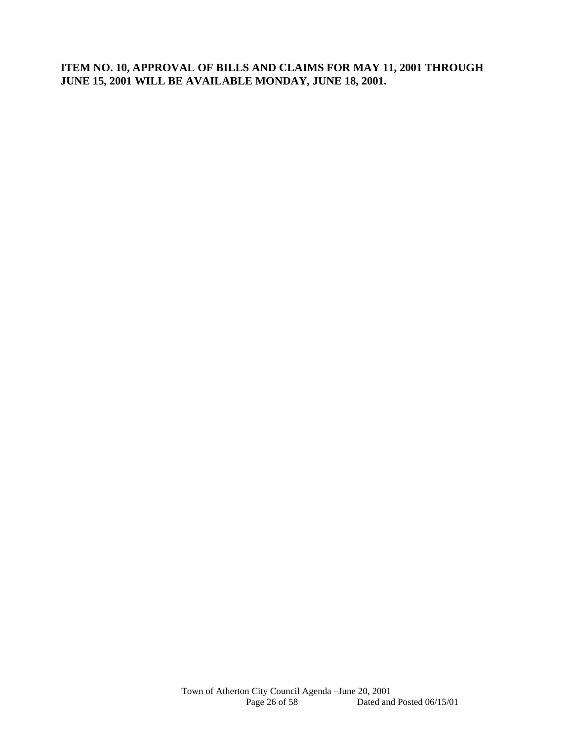**ITEM NO. 10, APPROVAL OF BILLS AND CLAIMS FOR MAY 11, 2001 THROUGH JUNE 15, 2001 WILL BE AVAILABLE MONDAY, JUNE 18, 2001.**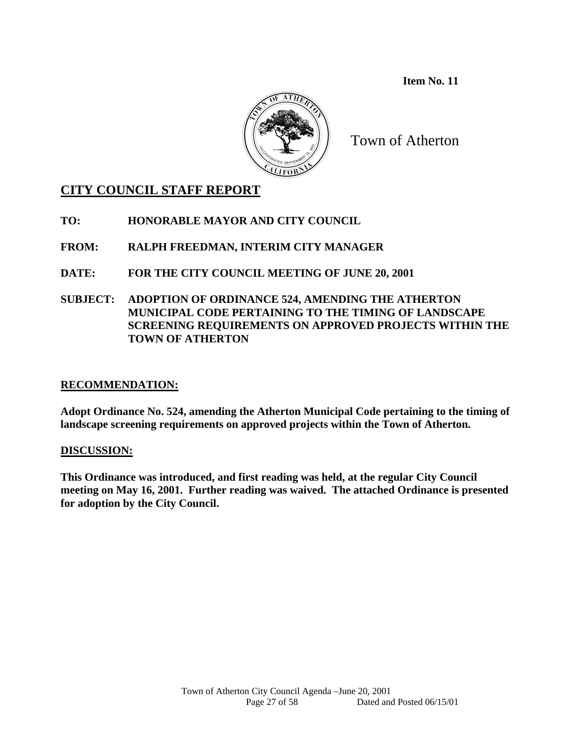**Item No. 11** 



Town of Atherton

# **CITY COUNCIL STAFF REPORT**

**TO: HONORABLE MAYOR AND CITY COUNCIL** 

**FROM: RALPH FREEDMAN, INTERIM CITY MANAGER** 

**DATE: FOR THE CITY COUNCIL MEETING OF JUNE 20, 2001** 

**SUBJECT: ADOPTION OF ORDINANCE 524, AMENDING THE ATHERTON MUNICIPAL CODE PERTAINING TO THE TIMING OF LANDSCAPE SCREENING REQUIREMENTS ON APPROVED PROJECTS WITHIN THE TOWN OF ATHERTON** 

# **RECOMMENDATION:**

**Adopt Ordinance No. 524, amending the Atherton Municipal Code pertaining to the timing of landscape screening requirements on approved projects within the Town of Atherton.** 

# **DISCUSSION:**

**This Ordinance was introduced, and first reading was held, at the regular City Council meeting on May 16, 2001. Further reading was waived. The attached Ordinance is presented for adoption by the City Council.**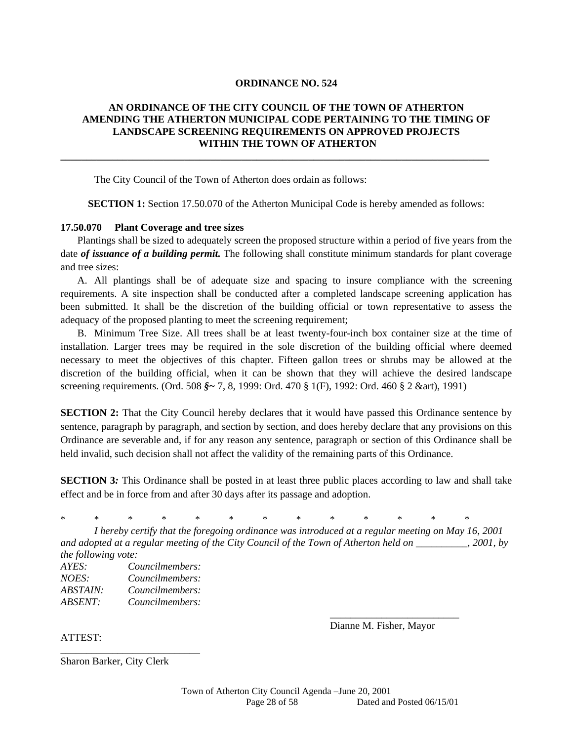#### **ORDINANCE NO. 524**

#### **AN ORDINANCE OF THE CITY COUNCIL OF THE TOWN OF ATHERTON AMENDING THE ATHERTON MUNICIPAL CODE PERTAINING TO THE TIMING OF LANDSCAPE SCREENING REQUIREMENTS ON APPROVED PROJECTS WITHIN THE TOWN OF ATHERTON**

**\_\_\_\_\_\_\_\_\_\_\_\_\_\_\_\_\_\_\_\_\_\_\_\_\_\_\_\_\_\_\_\_\_\_\_\_\_\_\_\_\_\_\_\_\_\_\_\_\_\_\_\_\_\_\_\_\_\_\_\_\_\_\_\_\_\_\_\_\_\_\_\_\_\_\_\_\_\_\_\_\_\_\_** 

The City Council of the Town of Atherton does ordain as follows:

**SECTION 1:** Section 17.50.070 of the Atherton Municipal Code is hereby amended as follows:

#### **17.50.070 Plant Coverage and tree sizes**

Plantings shall be sized to adequately screen the proposed structure within a period of five years from the date *of issuance of a building permit*. The following shall constitute minimum standards for plant coverage and tree sizes:

A. All plantings shall be of adequate size and spacing to insure compliance with the screening requirements. A site inspection shall be conducted after a completed landscape screening application has been submitted. It shall be the discretion of the building official or town representative to assess the adequacy of the proposed planting to meet the screening requirement;

B. Minimum Tree Size. All trees shall be at least twenty-four-inch box container size at the time of installation. Larger trees may be required in the sole discretion of the building official where deemed necessary to meet the objectives of this chapter. Fifteen gallon trees or shrubs may be allowed at the discretion of the building official, when it can be shown that they will achieve the desired landscape screening requirements. (Ord. 508 *§~* 7, 8, 1999: Ord. 470 § 1(F), 1992: Ord. 460 § 2 &art), 1991)

**SECTION 2:** That the City Council hereby declares that it would have passed this Ordinance sentence by sentence, paragraph by paragraph, and section by section, and does hereby declare that any provisions on this Ordinance are severable and, if for any reason any sentence, paragraph or section of this Ordinance shall be held invalid, such decision shall not affect the validity of the remaining parts of this Ordinance.

**SECTION 3***:* This Ordinance shall be posted in at least three public places according to law and shall take effect and be in force from and after 30 days after its passage and adoption.

\* \* \* \* \* \* \* \* \* \* \* \* \*

 $\frac{1}{2}$  , and the contract of the contract of the contract of the contract of the contract of the contract of the contract of the contract of the contract of the contract of the contract of the contract of the contract

 *I hereby certify that the foregoing ordinance was introduced at a regular meeting on May 16, 2001 and adopted at a regular meeting of the City Council of the Town of Atherton held on \_\_\_\_\_\_\_\_\_\_, 2001, by the following vote:* 

*AYES: Councilmembers: NOES: Councilmembers: ABSTAIN: Councilmembers: ABSENT: Councilmembers:* 

\_\_\_\_\_\_\_\_\_\_\_\_\_\_\_\_\_\_\_\_\_\_\_\_\_\_\_

ATTEST:

Dianne M. Fisher, Mayor

Sharon Barker, City Clerk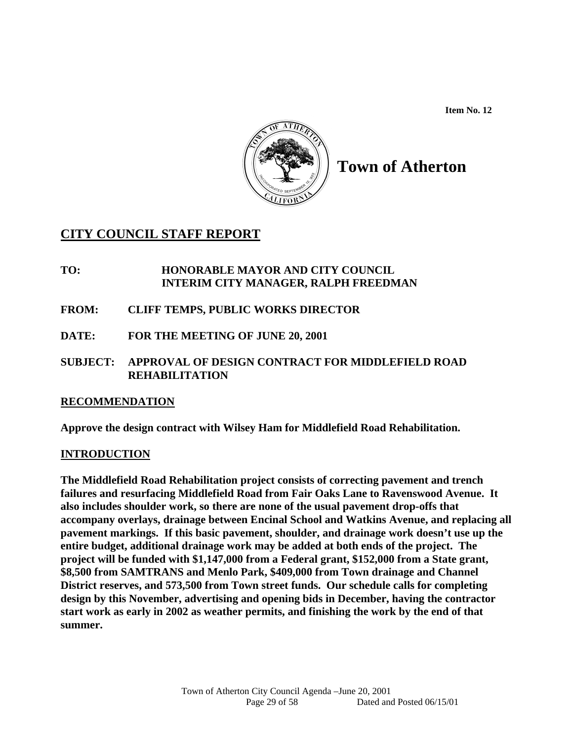**Item No. 12** 



# **Town of Atherton**

# **CITY COUNCIL STAFF REPORT**

- **TO: HONORABLE MAYOR AND CITY COUNCIL INTERIM CITY MANAGER, RALPH FREEDMAN**
- **FROM: CLIFF TEMPS, PUBLIC WORKS DIRECTOR**
- **DATE: FOR THE MEETING OF JUNE 20, 2001**
- **SUBJECT: APPROVAL OF DESIGN CONTRACT FOR MIDDLEFIELD ROAD REHABILITATION**

# **RECOMMENDATION**

**Approve the design contract with Wilsey Ham for Middlefield Road Rehabilitation.** 

# **INTRODUCTION**

**The Middlefield Road Rehabilitation project consists of correcting pavement and trench failures and resurfacing Middlefield Road from Fair Oaks Lane to Ravenswood Avenue. It also includes shoulder work, so there are none of the usual pavement drop-offs that accompany overlays, drainage between Encinal School and Watkins Avenue, and replacing all pavement markings. If this basic pavement, shoulder, and drainage work doesn't use up the entire budget, additional drainage work may be added at both ends of the project. The project will be funded with \$1,147,000 from a Federal grant, \$152,000 from a State grant, \$8,500 from SAMTRANS and Menlo Park, \$409,000 from Town drainage and Channel District reserves, and 573,500 from Town street funds. Our schedule calls for completing design by this November, advertising and opening bids in December, having the contractor start work as early in 2002 as weather permits, and finishing the work by the end of that summer.**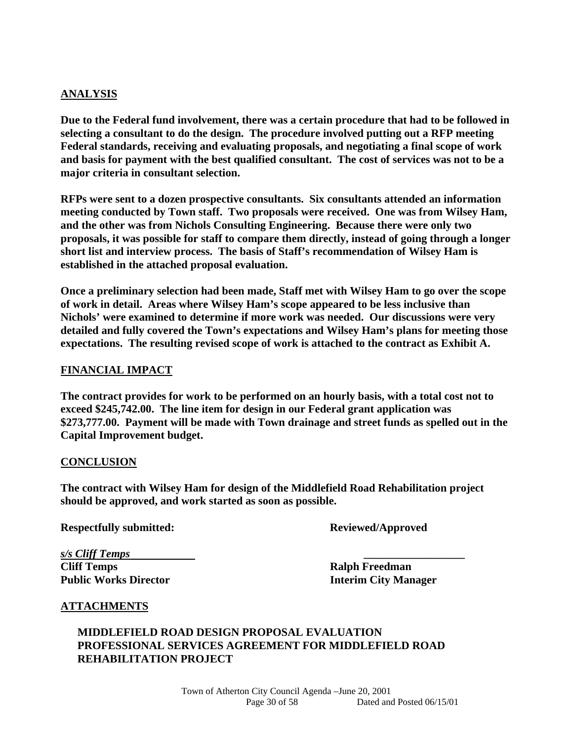#### **ANALYSIS**

**Due to the Federal fund involvement, there was a certain procedure that had to be followed in selecting a consultant to do the design. The procedure involved putting out a RFP meeting Federal standards, receiving and evaluating proposals, and negotiating a final scope of work and basis for payment with the best qualified consultant. The cost of services was not to be a major criteria in consultant selection.** 

**RFPs were sent to a dozen prospective consultants. Six consultants attended an information meeting conducted by Town staff. Two proposals were received. One was from Wilsey Ham, and the other was from Nichols Consulting Engineering. Because there were only two proposals, it was possible for staff to compare them directly, instead of going through a longer short list and interview process. The basis of Staff's recommendation of Wilsey Ham is established in the attached proposal evaluation.** 

**Once a preliminary selection had been made, Staff met with Wilsey Ham to go over the scope of work in detail. Areas where Wilsey Ham's scope appeared to be less inclusive than Nichols' were examined to determine if more work was needed. Our discussions were very detailed and fully covered the Town's expectations and Wilsey Ham's plans for meeting those expectations. The resulting revised scope of work is attached to the contract as Exhibit A.** 

#### **FINANCIAL IMPACT**

**The contract provides for work to be performed on an hourly basis, with a total cost not to exceed \$245,742.00. The line item for design in our Federal grant application was \$273,777.00. Payment will be made with Town drainage and street funds as spelled out in the Capital Improvement budget.** 

#### **CONCLUSION**

**The contract with Wilsey Ham for design of the Middlefield Road Rehabilitation project should be approved, and work started as soon as possible.** 

**Respectfully submitted: Reviewed/Approved** 

*s/s Cliff Temps* **\_\_\_\_\_\_\_\_\_\_\_\_\_\_\_\_\_\_ Cliff Temps Ralph Freedman Public Works Director Interim City Manager** 

#### **ATTACHMENTS**

# **MIDDLEFIELD ROAD DESIGN PROPOSAL EVALUATION PROFESSIONAL SERVICES AGREEMENT FOR MIDDLEFIELD ROAD REHABILITATION PROJECT**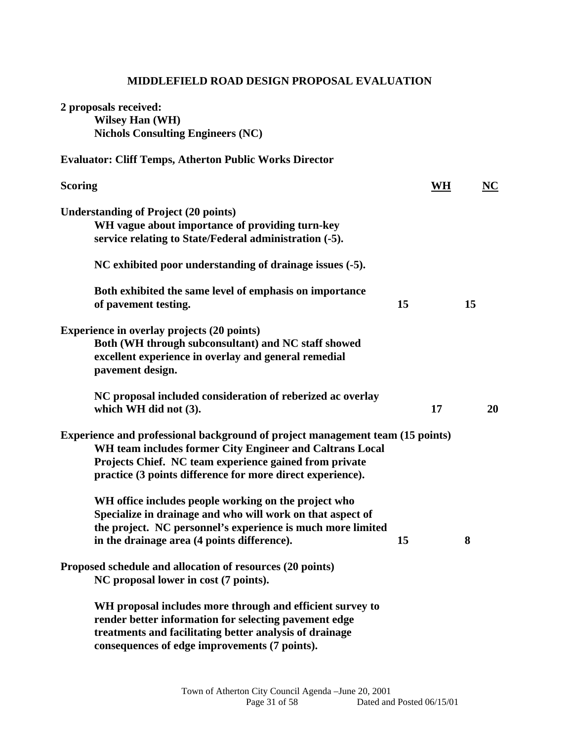# **MIDDLEFIELD ROAD DESIGN PROPOSAL EVALUATION**

| 2 proposals received:<br><b>Wilsey Han (WH)</b><br><b>Nichols Consulting Engineers (NC)</b>                                                                                                                                                                       |           |    |
|-------------------------------------------------------------------------------------------------------------------------------------------------------------------------------------------------------------------------------------------------------------------|-----------|----|
| <b>Evaluator: Cliff Temps, Atherton Public Works Director</b>                                                                                                                                                                                                     |           |    |
| <b>Scoring</b>                                                                                                                                                                                                                                                    | <b>WH</b> | NC |
| <b>Understanding of Project (20 points)</b><br>WH vague about importance of providing turn-key<br>service relating to State/Federal administration (-5).                                                                                                          |           |    |
| NC exhibited poor understanding of drainage issues (-5).                                                                                                                                                                                                          |           |    |
| Both exhibited the same level of emphasis on importance<br>of pavement testing.                                                                                                                                                                                   | 15        | 15 |
| <b>Experience in overlay projects (20 points)</b><br>Both (WH through subconsultant) and NC staff showed<br>excellent experience in overlay and general remedial<br>pavement design.                                                                              |           |    |
| NC proposal included consideration of reberized ac overlay<br>which WH did not (3).                                                                                                                                                                               | 17        | 20 |
| Experience and professional background of project management team (15 points)<br>WH team includes former City Engineer and Caltrans Local<br>Projects Chief. NC team experience gained from private<br>practice (3 points difference for more direct experience). |           |    |
| WH office includes people working on the project who<br>Specialize in drainage and who will work on that aspect of<br>the project. NC personnel's experience is much more limited<br>in the drainage area (4 points difference).                                  | 15        | 8  |
| Proposed schedule and allocation of resources (20 points)<br>NC proposal lower in cost (7 points).                                                                                                                                                                |           |    |
| WH proposal includes more through and efficient survey to<br>render better information for selecting pavement edge<br>treatments and facilitating better analysis of drainage<br>consequences of edge improvements (7 points).                                    |           |    |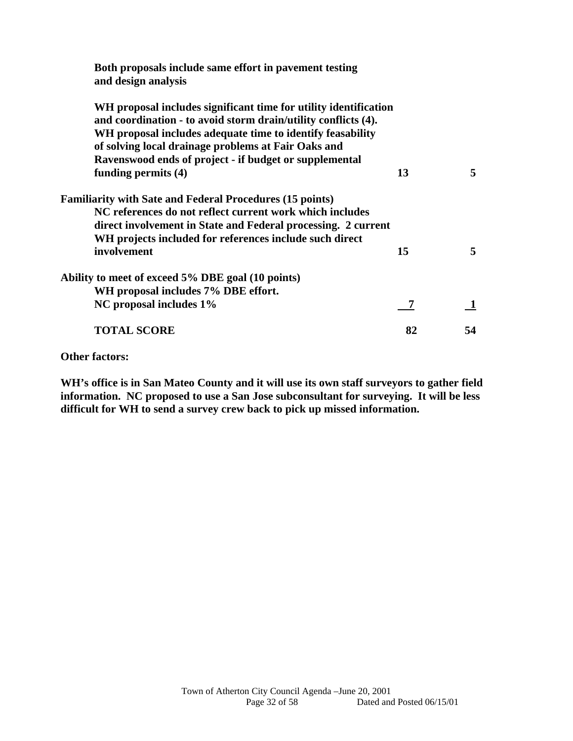| Both proposals include same effort in pavement testing<br>and design analysis                                                                                                                                                                           |    |    |
|---------------------------------------------------------------------------------------------------------------------------------------------------------------------------------------------------------------------------------------------------------|----|----|
| WH proposal includes significant time for utility identification<br>and coordination - to avoid storm drain/utility conflicts (4).<br>WH proposal includes adequate time to identify feasability<br>of solving local drainage problems at Fair Oaks and |    |    |
| Ravenswood ends of project - if budget or supplemental                                                                                                                                                                                                  |    |    |
| funding permits $(4)$                                                                                                                                                                                                                                   | 13 | 5  |
| <b>Familiarity with Sate and Federal Procedures (15 points)</b>                                                                                                                                                                                         |    |    |
| NC references do not reflect current work which includes                                                                                                                                                                                                |    |    |
| direct involvement in State and Federal processing. 2 current                                                                                                                                                                                           |    |    |
| WH projects included for references include such direct                                                                                                                                                                                                 |    |    |
| involvement                                                                                                                                                                                                                                             | 15 | 5  |
| Ability to meet of exceed 5% DBE goal (10 points)                                                                                                                                                                                                       |    |    |
| WH proposal includes 7% DBE effort.                                                                                                                                                                                                                     |    |    |
| NC proposal includes 1%                                                                                                                                                                                                                                 | 7  |    |
| <b>TOTAL SCORE</b>                                                                                                                                                                                                                                      | 82 | 54 |

**Other factors:** 

**WH's office is in San Mateo County and it will use its own staff surveyors to gather field information. NC proposed to use a San Jose subconsultant for surveying. It will be less difficult for WH to send a survey crew back to pick up missed information.**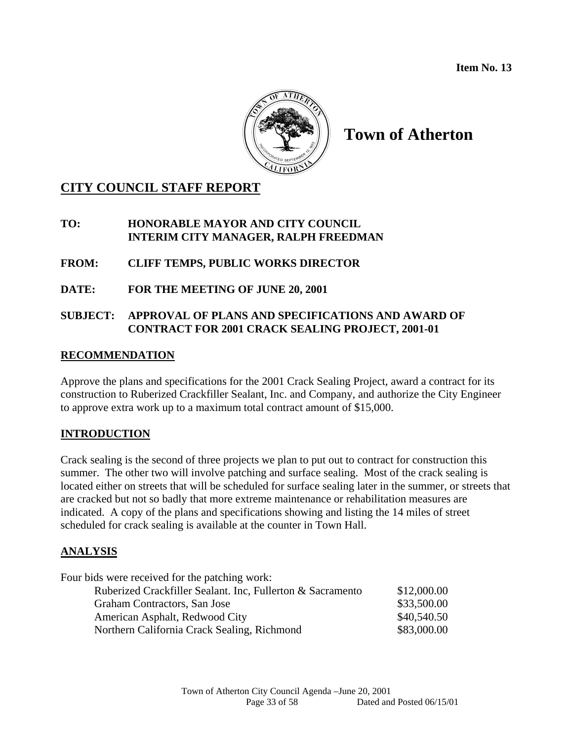**Item No. 13** 



# **Town of Atherton**

# **CITY COUNCIL STAFF REPORT**

# **TO: HONORABLE MAYOR AND CITY COUNCIL INTERIM CITY MANAGER, RALPH FREEDMAN**

**FROM: CLIFF TEMPS, PUBLIC WORKS DIRECTOR** 

**DATE: FOR THE MEETING OF JUNE 20, 2001**

# **SUBJECT: APPROVAL OF PLANS AND SPECIFICATIONS AND AWARD OF CONTRACT FOR 2001 CRACK SEALING PROJECT, 2001-01**

# **RECOMMENDATION**

Approve the plans and specifications for the 2001 Crack Sealing Project, award a contract for its construction to Ruberized Crackfiller Sealant, Inc. and Company, and authorize the City Engineer to approve extra work up to a maximum total contract amount of \$15,000.

# **INTRODUCTION**

Crack sealing is the second of three projects we plan to put out to contract for construction this summer. The other two will involve patching and surface sealing. Most of the crack sealing is located either on streets that will be scheduled for surface sealing later in the summer, or streets that are cracked but not so badly that more extreme maintenance or rehabilitation measures are indicated. A copy of the plans and specifications showing and listing the 14 miles of street scheduled for crack sealing is available at the counter in Town Hall.

# **ANALYSIS**

| \$12,000.00 |
|-------------|
| \$33,500.00 |
| \$40,540.50 |
| \$83,000.00 |
|             |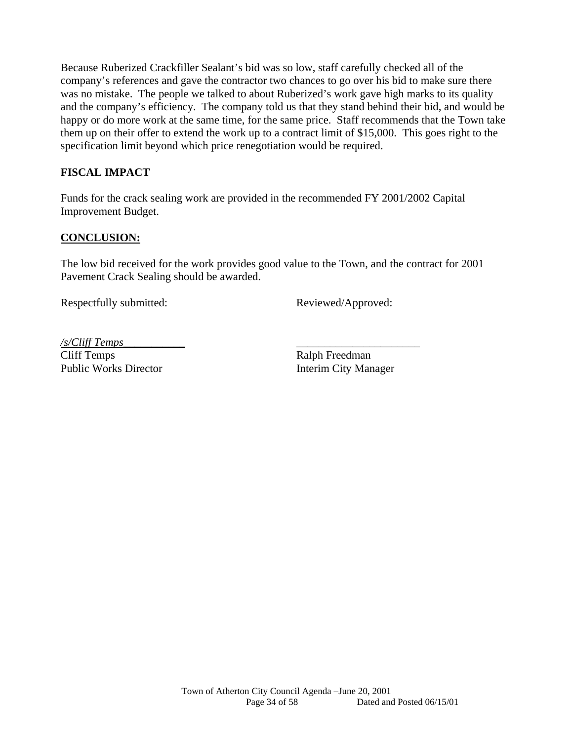Because Ruberized Crackfiller Sealant's bid was so low, staff carefully checked all of the company's references and gave the contractor two chances to go over his bid to make sure there was no mistake. The people we talked to about Ruberized's work gave high marks to its quality and the company's efficiency. The company told us that they stand behind their bid, and would be happy or do more work at the same time, for the same price. Staff recommends that the Town take them up on their offer to extend the work up to a contract limit of \$15,000. This goes right to the specification limit beyond which price renegotiation would be required.

# **FISCAL IMPACT**

Funds for the crack sealing work are provided in the recommended FY 2001/2002 Capital Improvement Budget.

# **CONCLUSION:**

The low bid received for the work provides good value to the Town, and the contract for 2001 Pavement Crack Sealing should be awarded.

Respectfully submitted: Reviewed/Approved:

*/s/Cliff Temps*\_\_\_\_\_\_\_\_\_\_\_ \_\_\_\_\_\_\_\_\_\_\_\_\_\_\_\_\_\_\_\_\_\_

Cliff Temps Ralph Freedman Public Works Director **Interim City Manager**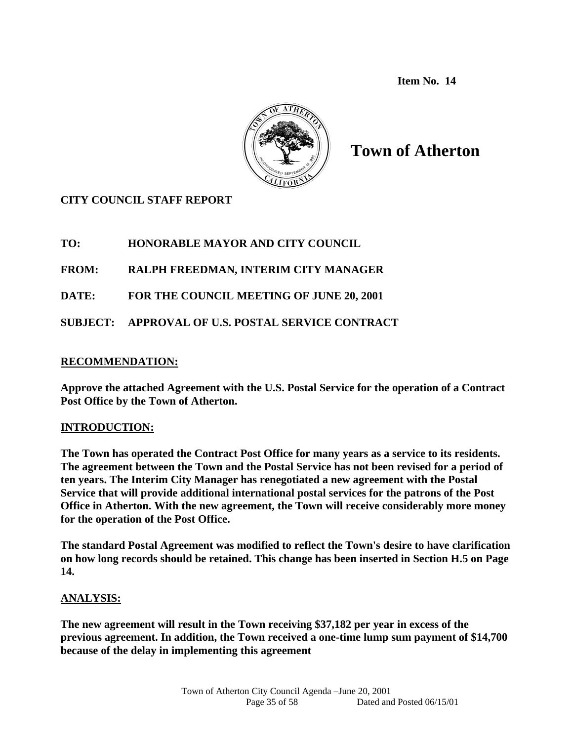**Item No. 14** 



**Town of Atherton** 

# **CITY COUNCIL STAFF REPORT**

**TO: HONORABLE MAYOR AND CITY COUNCIL** 

**FROM: RALPH FREEDMAN, INTERIM CITY MANAGER** 

**DATE: FOR THE COUNCIL MEETING OF JUNE 20, 2001** 

**SUBJECT: APPROVAL OF U.S. POSTAL SERVICE CONTRACT** 

#### **RECOMMENDATION:**

**Approve the attached Agreement with the U.S. Postal Service for the operation of a Contract Post Office by the Town of Atherton.** 

# **INTRODUCTION:**

**The Town has operated the Contract Post Office for many years as a service to its residents. The agreement between the Town and the Postal Service has not been revised for a period of ten years. The Interim City Manager has renegotiated a new agreement with the Postal Service that will provide additional international postal services for the patrons of the Post Office in Atherton. With the new agreement, the Town will receive considerably more money for the operation of the Post Office.** 

**The standard Postal Agreement was modified to reflect the Town's desire to have clarification on how long records should be retained. This change has been inserted in Section H.5 on Page 14.** 

#### **ANALYSIS:**

**The new agreement will result in the Town receiving \$37,182 per year in excess of the previous agreement. In addition, the Town received a one-time lump sum payment of \$14,700 because of the delay in implementing this agreement**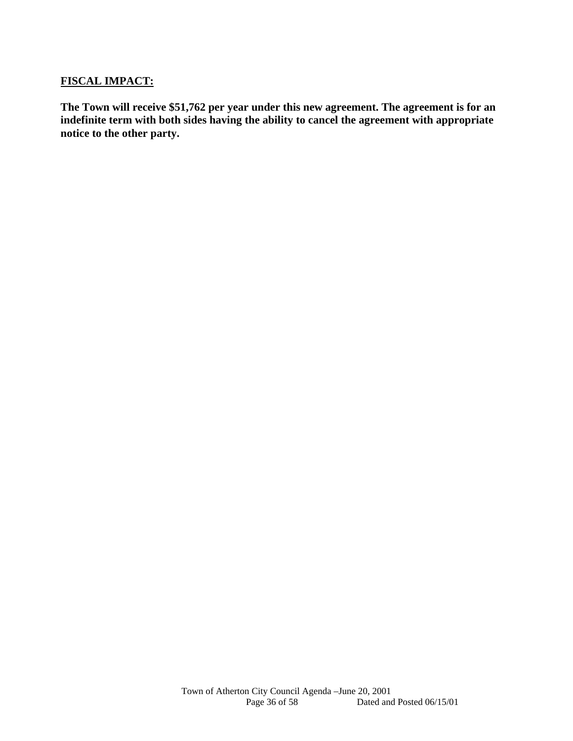# **FISCAL IMPACT:**

**The Town will receive \$51,762 per year under this new agreement. The agreement is for an indefinite term with both sides having the ability to cancel the agreement with appropriate notice to the other party.**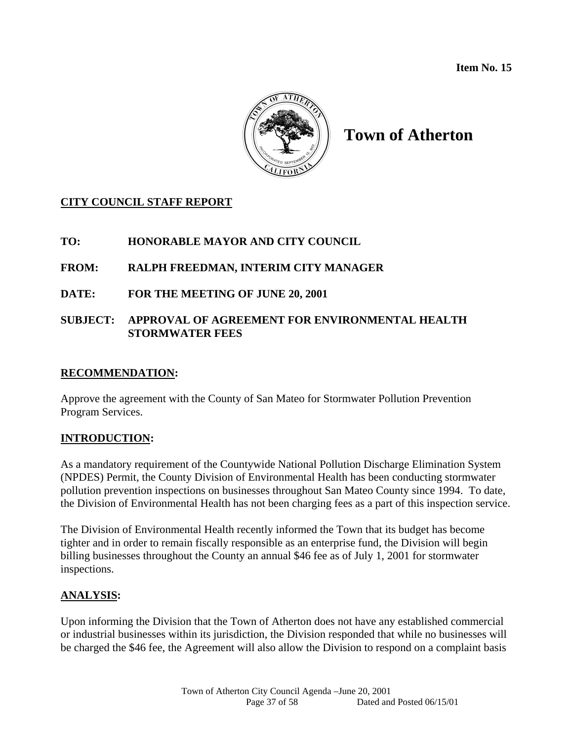**Item No. 15** 



# **Town of Atherton**

# **CITY COUNCIL STAFF REPORT**

# **TO: HONORABLE MAYOR AND CITY COUNCIL**

# **FROM: RALPH FREEDMAN, INTERIM CITY MANAGER**

# **DATE: FOR THE MEETING OF JUNE 20, 2001**

# **SUBJECT: APPROVAL OF AGREEMENT FOR ENVIRONMENTAL HEALTH STORMWATER FEES**

#### **RECOMMENDATION:**

Approve the agreement with the County of San Mateo for Stormwater Pollution Prevention Program Services.

# **INTRODUCTION:**

As a mandatory requirement of the Countywide National Pollution Discharge Elimination System (NPDES) Permit, the County Division of Environmental Health has been conducting stormwater pollution prevention inspections on businesses throughout San Mateo County since 1994. To date, the Division of Environmental Health has not been charging fees as a part of this inspection service.

The Division of Environmental Health recently informed the Town that its budget has become tighter and in order to remain fiscally responsible as an enterprise fund, the Division will begin billing businesses throughout the County an annual \$46 fee as of July 1, 2001 for stormwater inspections.

# **ANALYSIS:**

Upon informing the Division that the Town of Atherton does not have any established commercial or industrial businesses within its jurisdiction, the Division responded that while no businesses will be charged the \$46 fee, the Agreement will also allow the Division to respond on a complaint basis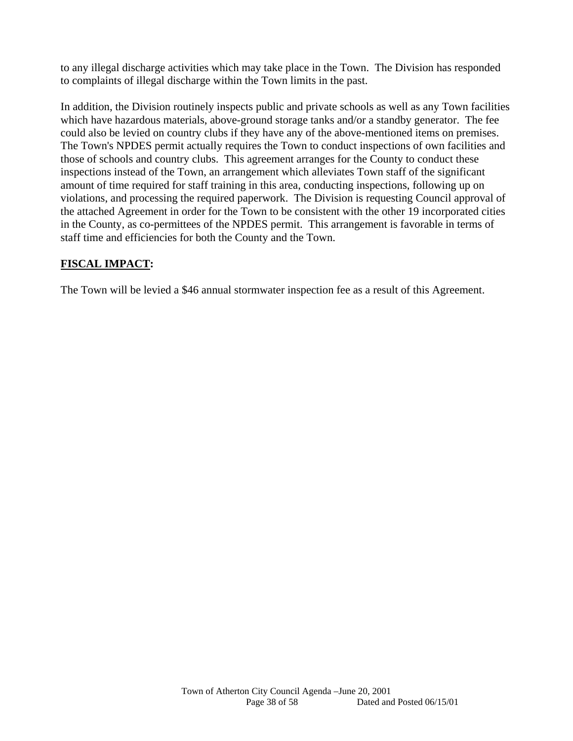to any illegal discharge activities which may take place in the Town. The Division has responded to complaints of illegal discharge within the Town limits in the past.

In addition, the Division routinely inspects public and private schools as well as any Town facilities which have hazardous materials, above-ground storage tanks and/or a standby generator. The fee could also be levied on country clubs if they have any of the above-mentioned items on premises. The Town's NPDES permit actually requires the Town to conduct inspections of own facilities and those of schools and country clubs. This agreement arranges for the County to conduct these inspections instead of the Town, an arrangement which alleviates Town staff of the significant amount of time required for staff training in this area, conducting inspections, following up on violations, and processing the required paperwork. The Division is requesting Council approval of the attached Agreement in order for the Town to be consistent with the other 19 incorporated cities in the County, as co-permittees of the NPDES permit. This arrangement is favorable in terms of staff time and efficiencies for both the County and the Town.

# **FISCAL IMPACT:**

The Town will be levied a \$46 annual stormwater inspection fee as a result of this Agreement.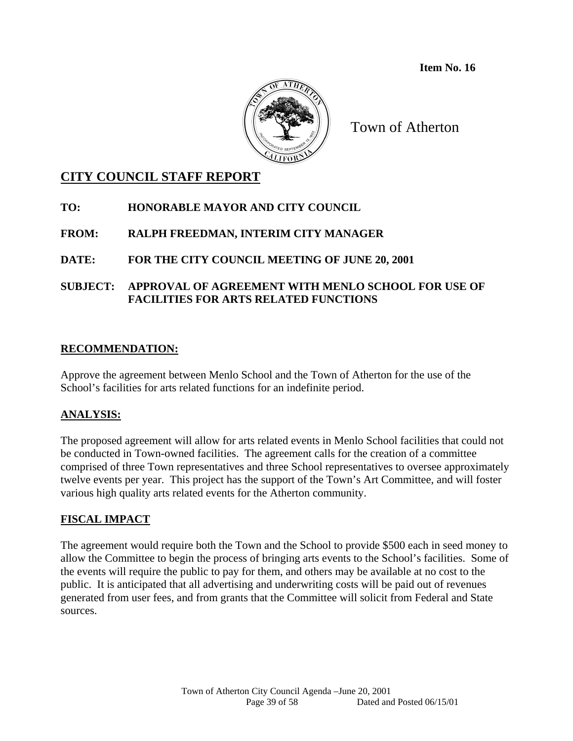**Item No. 16** 



Town of Atherton

# **CITY COUNCIL STAFF REPORT**

- **TO: HONORABLE MAYOR AND CITY COUNCIL**
- **FROM: RALPH FREEDMAN, INTERIM CITY MANAGER**
- **DATE: FOR THE CITY COUNCIL MEETING OF JUNE 20, 2001**
- **SUBJECT: APPROVAL OF AGREEMENT WITH MENLO SCHOOL FOR USE OF FACILITIES FOR ARTS RELATED FUNCTIONS**

# **RECOMMENDATION:**

Approve the agreement between Menlo School and the Town of Atherton for the use of the School's facilities for arts related functions for an indefinite period.

# **ANALYSIS:**

The proposed agreement will allow for arts related events in Menlo School facilities that could not be conducted in Town-owned facilities. The agreement calls for the creation of a committee comprised of three Town representatives and three School representatives to oversee approximately twelve events per year. This project has the support of the Town's Art Committee, and will foster various high quality arts related events for the Atherton community.

# **FISCAL IMPACT**

The agreement would require both the Town and the School to provide \$500 each in seed money to allow the Committee to begin the process of bringing arts events to the School's facilities. Some of the events will require the public to pay for them, and others may be available at no cost to the public. It is anticipated that all advertising and underwriting costs will be paid out of revenues generated from user fees, and from grants that the Committee will solicit from Federal and State sources.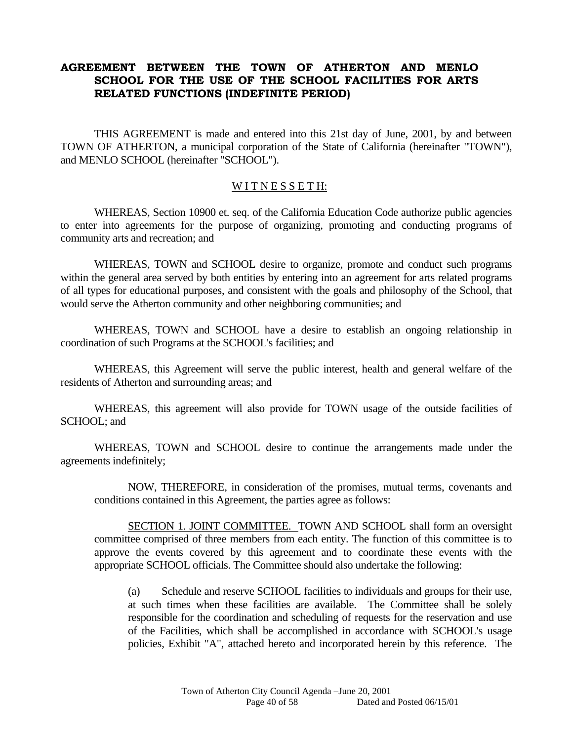# **AGREEMENT BETWEEN THE TOWN OF ATHERTON AND MENLO SCHOOL FOR THE USE OF THE SCHOOL FACILITIES FOR ARTS RELATED FUNCTIONS (INDEFINITE PERIOD)**

THIS AGREEMENT is made and entered into this 21st day of June, 2001, by and between TOWN OF ATHERTON, a municipal corporation of the State of California (hereinafter "TOWN"), and MENLO SCHOOL (hereinafter "SCHOOL").

#### WITNESSETH:

 WHEREAS, Section 10900 et. seq. of the California Education Code authorize public agencies to enter into agreements for the purpose of organizing, promoting and conducting programs of community arts and recreation; and

 WHEREAS, TOWN and SCHOOL desire to organize, promote and conduct such programs within the general area served by both entities by entering into an agreement for arts related programs of all types for educational purposes, and consistent with the goals and philosophy of the School, that would serve the Atherton community and other neighboring communities; and

WHEREAS, TOWN and SCHOOL have a desire to establish an ongoing relationship in coordination of such Programs at the SCHOOL's facilities; and

 WHEREAS, this Agreement will serve the public interest, health and general welfare of the residents of Atherton and surrounding areas; and

 WHEREAS, this agreement will also provide for TOWN usage of the outside facilities of SCHOOL; and

 WHEREAS, TOWN and SCHOOL desire to continue the arrangements made under the agreements indefinitely;

 NOW, THEREFORE, in consideration of the promises, mutual terms, covenants and conditions contained in this Agreement, the parties agree as follows:

 SECTION 1. JOINT COMMITTEE. TOWN AND SCHOOL shall form an oversight committee comprised of three members from each entity. The function of this committee is to approve the events covered by this agreement and to coordinate these events with the appropriate SCHOOL officials. The Committee should also undertake the following:

 (a) Schedule and reserve SCHOOL facilities to individuals and groups for their use, at such times when these facilities are available. The Committee shall be solely responsible for the coordination and scheduling of requests for the reservation and use of the Facilities, which shall be accomplished in accordance with SCHOOL's usage policies, Exhibit "A", attached hereto and incorporated herein by this reference. The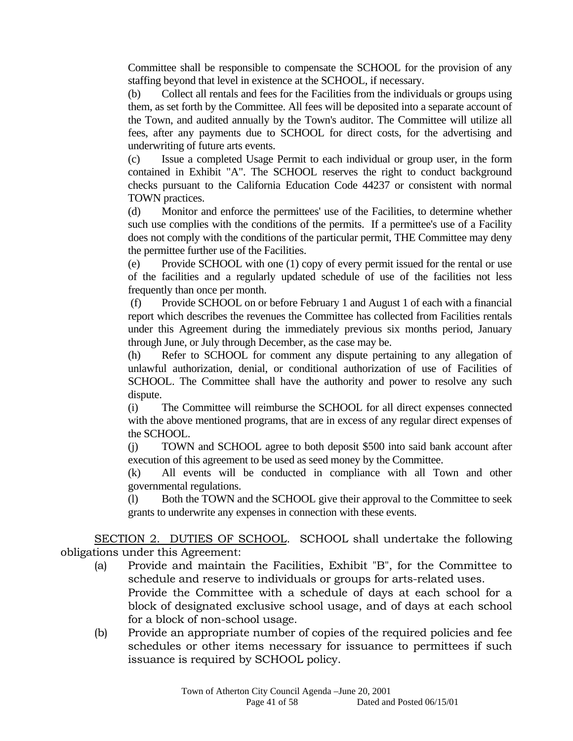Committee shall be responsible to compensate the SCHOOL for the provision of any staffing beyond that level in existence at the SCHOOL, if necessary.

 (b) Collect all rentals and fees for the Facilities from the individuals or groups using them, as set forth by the Committee. All fees will be deposited into a separate account of the Town, and audited annually by the Town's auditor. The Committee will utilize all fees, after any payments due to SCHOOL for direct costs, for the advertising and underwriting of future arts events.

 (c) Issue a completed Usage Permit to each individual or group user, in the form contained in Exhibit "A". The SCHOOL reserves the right to conduct background checks pursuant to the California Education Code 44237 or consistent with normal TOWN practices.

 (d) Monitor and enforce the permittees' use of the Facilities, to determine whether such use complies with the conditions of the permits. If a permittee's use of a Facility does not comply with the conditions of the particular permit, THE Committee may deny the permittee further use of the Facilities.

 (e) Provide SCHOOL with one (1) copy of every permit issued for the rental or use of the facilities and a regularly updated schedule of use of the facilities not less frequently than once per month.

 (f) Provide SCHOOL on or before February 1 and August 1 of each with a financial report which describes the revenues the Committee has collected from Facilities rentals under this Agreement during the immediately previous six months period, January through June, or July through December, as the case may be.

(h) Refer to SCHOOL for comment any dispute pertaining to any allegation of unlawful authorization, denial, or conditional authorization of use of Facilities of SCHOOL. The Committee shall have the authority and power to resolve any such dispute.

(i) The Committee will reimburse the SCHOOL for all direct expenses connected with the above mentioned programs, that are in excess of any regular direct expenses of the SCHOOL.

(j) TOWN and SCHOOL agree to both deposit \$500 into said bank account after execution of this agreement to be used as seed money by the Committee.

(k) All events will be conducted in compliance with all Town and other governmental regulations.

(l) Both the TOWN and the SCHOOL give their approval to the Committee to seek grants to underwrite any expenses in connection with these events.

 SECTION 2. DUTIES OF SCHOOL. SCHOOL shall undertake the following obligations under this Agreement:

- (a) Provide and maintain the Facilities, Exhibit "B", for the Committee to schedule and reserve to individuals or groups for arts-related uses. Provide the Committee with a schedule of days at each school for a block of designated exclusive school usage, and of days at each school for a block of non-school usage.
- (b) Provide an appropriate number of copies of the required policies and fee schedules or other items necessary for issuance to permittees if such issuance is required by SCHOOL policy.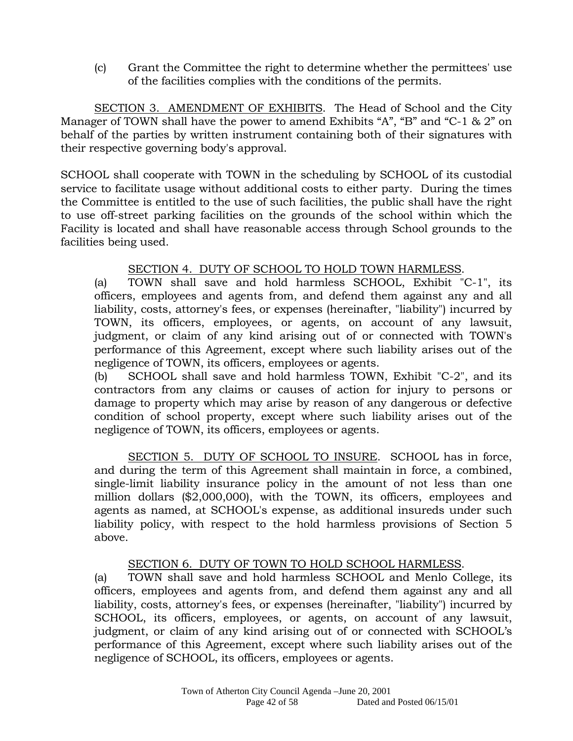(c) Grant the Committee the right to determine whether the permittees' use of the facilities complies with the conditions of the permits.

 SECTION 3. AMENDMENT OF EXHIBITS. The Head of School and the City Manager of TOWN shall have the power to amend Exhibits "A", "B" and "C-1 & 2" on behalf of the parties by written instrument containing both of their signatures with their respective governing body's approval.

SCHOOL shall cooperate with TOWN in the scheduling by SCHOOL of its custodial service to facilitate usage without additional costs to either party. During the times the Committee is entitled to the use of such facilities, the public shall have the right to use off-street parking facilities on the grounds of the school within which the Facility is located and shall have reasonable access through School grounds to the facilities being used.

# SECTION 4. DUTY OF SCHOOL TO HOLD TOWN HARMLESS.

 (a) TOWN shall save and hold harmless SCHOOL, Exhibit "C-1", its officers, employees and agents from, and defend them against any and all liability, costs, attorney's fees, or expenses (hereinafter, "liability") incurred by TOWN, its officers, employees, or agents, on account of any lawsuit, judgment, or claim of any kind arising out of or connected with TOWN's performance of this Agreement, except where such liability arises out of the negligence of TOWN, its officers, employees or agents.

 (b) SCHOOL shall save and hold harmless TOWN, Exhibit "C-2", and its contractors from any claims or causes of action for injury to persons or damage to property which may arise by reason of any dangerous or defective condition of school property, except where such liability arises out of the negligence of TOWN, its officers, employees or agents.

 SECTION 5. DUTY OF SCHOOL TO INSURE. SCHOOL has in force, and during the term of this Agreement shall maintain in force, a combined, single-limit liability insurance policy in the amount of not less than one million dollars (\$2,000,000), with the TOWN, its officers, employees and agents as named, at SCHOOL's expense, as additional insureds under such liability policy, with respect to the hold harmless provisions of Section 5 above.

# SECTION 6. DUTY OF TOWN TO HOLD SCHOOL HARMLESS.

 (a) TOWN shall save and hold harmless SCHOOL and Menlo College, its officers, employees and agents from, and defend them against any and all liability, costs, attorney's fees, or expenses (hereinafter, "liability") incurred by SCHOOL, its officers, employees, or agents, on account of any lawsuit, judgment, or claim of any kind arising out of or connected with SCHOOL's performance of this Agreement, except where such liability arises out of the negligence of SCHOOL, its officers, employees or agents.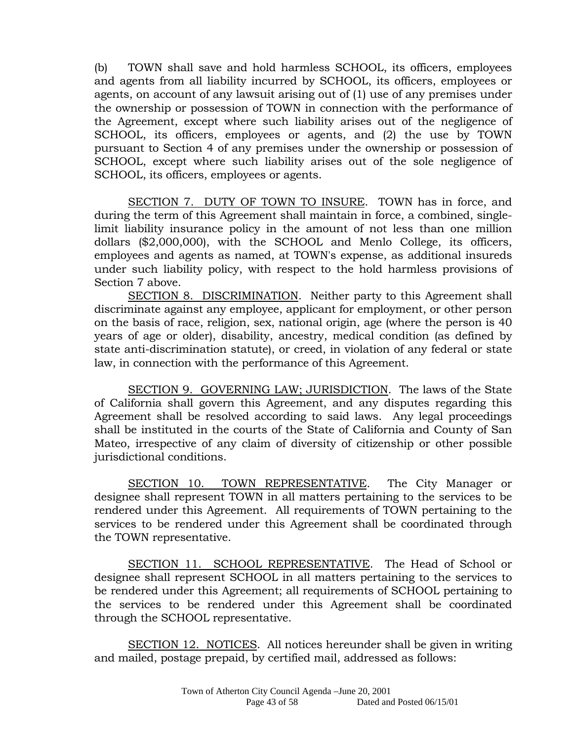(b) TOWN shall save and hold harmless SCHOOL, its officers, employees and agents from all liability incurred by SCHOOL, its officers, employees or agents, on account of any lawsuit arising out of (1) use of any premises under the ownership or possession of TOWN in connection with the performance of the Agreement, except where such liability arises out of the negligence of SCHOOL, its officers, employees or agents, and (2) the use by TOWN pursuant to Section 4 of any premises under the ownership or possession of SCHOOL, except where such liability arises out of the sole negligence of SCHOOL, its officers, employees or agents.

 SECTION 7. DUTY OF TOWN TO INSURE. TOWN has in force, and during the term of this Agreement shall maintain in force, a combined, singlelimit liability insurance policy in the amount of not less than one million dollars (\$2,000,000), with the SCHOOL and Menlo College, its officers, employees and agents as named, at TOWN's expense, as additional insureds under such liability policy, with respect to the hold harmless provisions of Section 7 above.

 SECTION 8. DISCRIMINATION. Neither party to this Agreement shall discriminate against any employee, applicant for employment, or other person on the basis of race, religion, sex, national origin, age (where the person is 40 years of age or older), disability, ancestry, medical condition (as defined by state anti-discrimination statute), or creed, in violation of any federal or state law, in connection with the performance of this Agreement.

 SECTION 9. GOVERNING LAW; JURISDICTION. The laws of the State of California shall govern this Agreement, and any disputes regarding this Agreement shall be resolved according to said laws. Any legal proceedings shall be instituted in the courts of the State of California and County of San Mateo, irrespective of any claim of diversity of citizenship or other possible jurisdictional conditions.

SECTION 10. TOWN REPRESENTATIVE. The City Manager or designee shall represent TOWN in all matters pertaining to the services to be rendered under this Agreement. All requirements of TOWN pertaining to the services to be rendered under this Agreement shall be coordinated through the TOWN representative.

 SECTION 11. SCHOOL REPRESENTATIVE. The Head of School or designee shall represent SCHOOL in all matters pertaining to the services to be rendered under this Agreement; all requirements of SCHOOL pertaining to the services to be rendered under this Agreement shall be coordinated through the SCHOOL representative.

 SECTION 12. NOTICES. All notices hereunder shall be given in writing and mailed, postage prepaid, by certified mail, addressed as follows: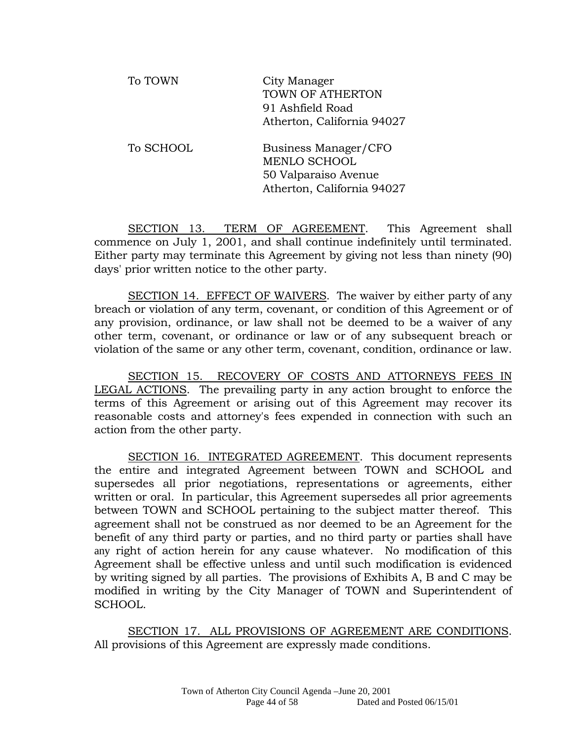| To TOWN   | City Manager<br>TOWN OF ATHERTON<br>91 Ashfield Road<br>Atherton, California 94027                |
|-----------|---------------------------------------------------------------------------------------------------|
| To SCHOOL | Business Manager/CFO<br><b>MENLO SCHOOL</b><br>50 Valparaiso Avenue<br>Atherton, California 94027 |

 SECTION 13. TERM OF AGREEMENT. This Agreement shall commence on July 1, 2001, and shall continue indefinitely until terminated. Either party may terminate this Agreement by giving not less than ninety (90) days' prior written notice to the other party.

 SECTION 14. EFFECT OF WAIVERS. The waiver by either party of any breach or violation of any term, covenant, or condition of this Agreement or of any provision, ordinance, or law shall not be deemed to be a waiver of any other term, covenant, or ordinance or law or of any subsequent breach or violation of the same or any other term, covenant, condition, ordinance or law.

 SECTION 15. RECOVERY OF COSTS AND ATTORNEYS FEES IN LEGAL ACTIONS. The prevailing party in any action brought to enforce the terms of this Agreement or arising out of this Agreement may recover its reasonable costs and attorney's fees expended in connection with such an action from the other party.

 SECTION 16. INTEGRATED AGREEMENT. This document represents the entire and integrated Agreement between TOWN and SCHOOL and supersedes all prior negotiations, representations or agreements, either written or oral. In particular, this Agreement supersedes all prior agreements between TOWN and SCHOOL pertaining to the subject matter thereof. This agreement shall not be construed as nor deemed to be an Agreement for the benefit of any third party or parties, and no third party or parties shall have any right of action herein for any cause whatever. No modification of this Agreement shall be effective unless and until such modification is evidenced by writing signed by all parties. The provisions of Exhibits A, B and C may be modified in writing by the City Manager of TOWN and Superintendent of SCHOOL.

 SECTION 17. ALL PROVISIONS OF AGREEMENT ARE CONDITIONS. All provisions of this Agreement are expressly made conditions.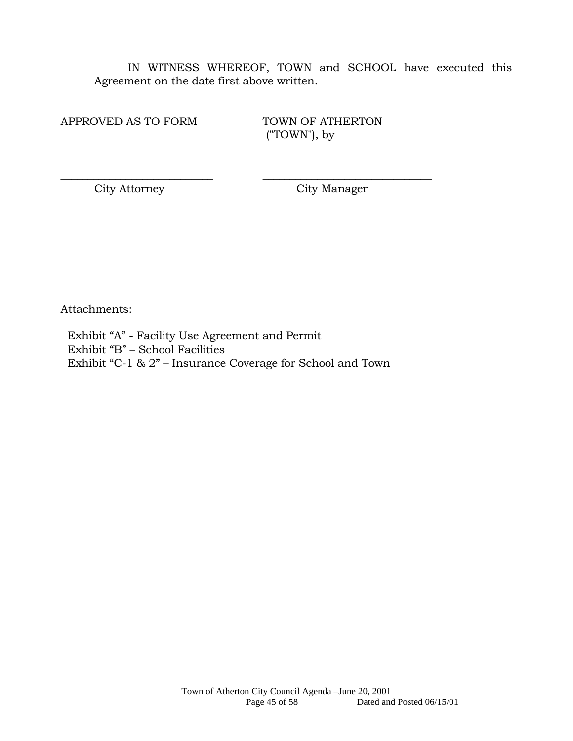IN WITNESS WHEREOF, TOWN and SCHOOL have executed this Agreement on the date first above written.

APPROVED AS TO FORM TOWN OF ATHERTON

("TOWN"), by

City Attorney City Manager

Attachments:

 Exhibit "A" - Facility Use Agreement and Permit Exhibit "B" – School Facilities Exhibit "C-1 & 2" – Insurance Coverage for School and Town

\_\_\_\_\_\_\_\_\_\_\_\_\_\_\_\_\_\_\_\_\_\_\_\_\_\_\_\_ \_\_\_\_\_\_\_\_\_\_\_\_\_\_\_\_\_\_\_\_\_\_\_\_\_\_\_\_\_\_\_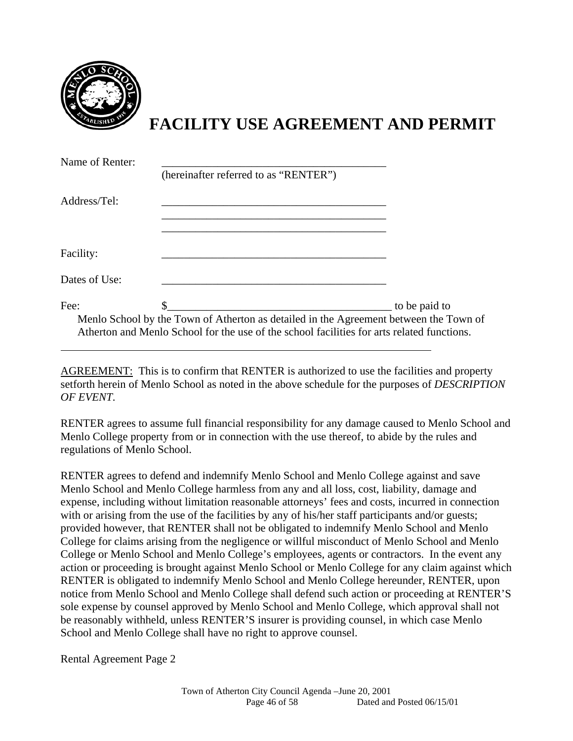

# **FACILITY USE AGREEMENT AND PERMIT**

| Name of Renter: | (hereinafter referred to as "RENTER")                                                                                                                                               |               |
|-----------------|-------------------------------------------------------------------------------------------------------------------------------------------------------------------------------------|---------------|
| Address/Tel:    |                                                                                                                                                                                     |               |
| Facility:       |                                                                                                                                                                                     |               |
| Dates of Use:   |                                                                                                                                                                                     |               |
| Fee:            | Menlo School by the Town of Atherton as detailed in the Agreement between the Town of<br>Atherton and Menlo School for the use of the school facilities for arts related functions. | to be paid to |

AGREEMENT: This is to confirm that RENTER is authorized to use the facilities and property setforth herein of Menlo School as noted in the above schedule for the purposes of *DESCRIPTION OF EVENT*.

RENTER agrees to assume full financial responsibility for any damage caused to Menlo School and Menlo College property from or in connection with the use thereof, to abide by the rules and regulations of Menlo School.

RENTER agrees to defend and indemnify Menlo School and Menlo College against and save Menlo School and Menlo College harmless from any and all loss, cost, liability, damage and expense, including without limitation reasonable attorneys' fees and costs, incurred in connection with or arising from the use of the facilities by any of his/her staff participants and/or guests; provided however, that RENTER shall not be obligated to indemnify Menlo School and Menlo College for claims arising from the negligence or willful misconduct of Menlo School and Menlo College or Menlo School and Menlo College's employees, agents or contractors. In the event any action or proceeding is brought against Menlo School or Menlo College for any claim against which RENTER is obligated to indemnify Menlo School and Menlo College hereunder, RENTER, upon notice from Menlo School and Menlo College shall defend such action or proceeding at RENTER'S sole expense by counsel approved by Menlo School and Menlo College, which approval shall not be reasonably withheld, unless RENTER'S insurer is providing counsel, in which case Menlo School and Menlo College shall have no right to approve counsel.

Rental Agreement Page 2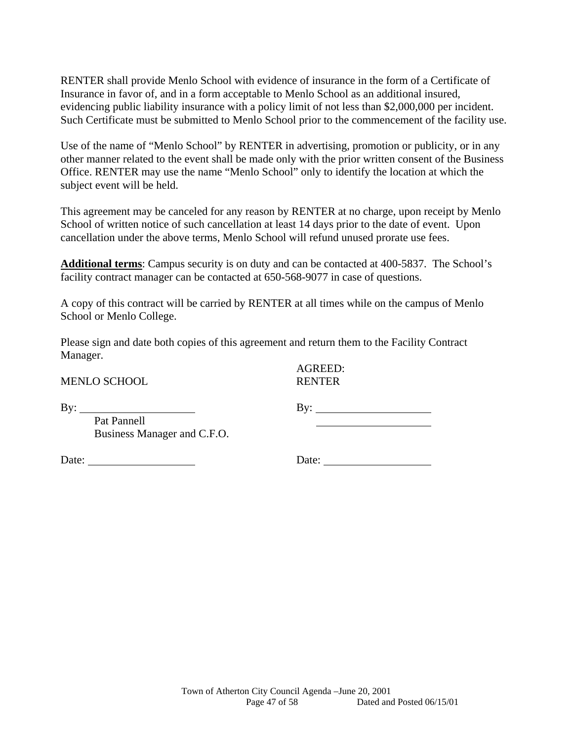RENTER shall provide Menlo School with evidence of insurance in the form of a Certificate of Insurance in favor of, and in a form acceptable to Menlo School as an additional insured, evidencing public liability insurance with a policy limit of not less than \$2,000,000 per incident. Such Certificate must be submitted to Menlo School prior to the commencement of the facility use.

Use of the name of "Menlo School" by RENTER in advertising, promotion or publicity, or in any other manner related to the event shall be made only with the prior written consent of the Business Office. RENTER may use the name "Menlo School" only to identify the location at which the subject event will be held.

This agreement may be canceled for any reason by RENTER at no charge, upon receipt by Menlo School of written notice of such cancellation at least 14 days prior to the date of event. Upon cancellation under the above terms, Menlo School will refund unused prorate use fees.

**Additional terms**: Campus security is on duty and can be contacted at 400-5837. The School's facility contract manager can be contacted at 650-568-9077 in case of questions.

A copy of this contract will be carried by RENTER at all times while on the campus of Menlo School or Menlo College.

Please sign and date both copies of this agreement and return them to the Facility Contract Manager.

MENLO SCHOOL RENTER

AGREED:

By: By: Pat Pannell Business Manager and C.F.O.

Date: Date: Date:

Town of Atherton City Council Agenda –June 20, 2001 Page 47 of 58 Dated and Posted 06/15/01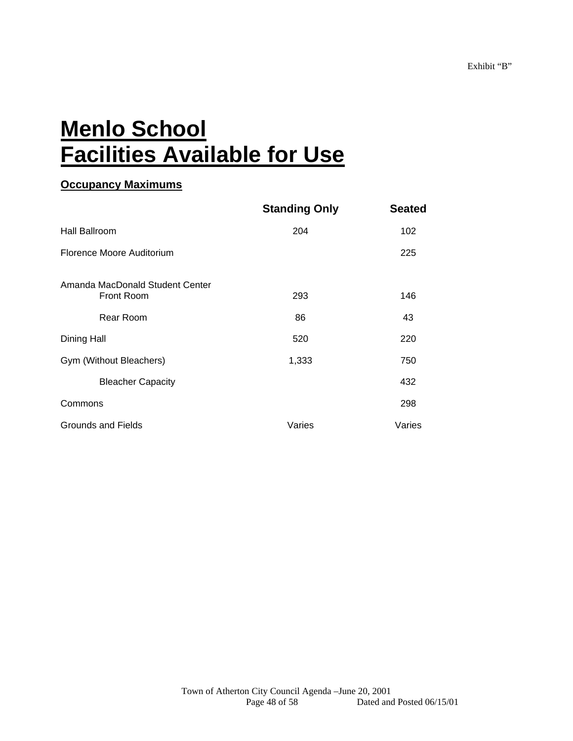# **Menlo School Facilities Available for Use**

# **Occupancy Maximums**

|                                               | <b>Standing Only</b> | <b>Seated</b> |
|-----------------------------------------------|----------------------|---------------|
| Hall Ballroom                                 | 204                  | 102           |
| Florence Moore Auditorium                     |                      | 225           |
| Amanda MacDonald Student Center<br>Front Room | 293                  | 146           |
| Rear Room                                     | 86                   | 43            |
| Dining Hall                                   | 520                  | 220           |
| Gym (Without Bleachers)                       | 1,333                | 750           |
| <b>Bleacher Capacity</b>                      |                      | 432           |
| Commons                                       |                      | 298           |
| Grounds and Fields                            | Varies               | Varies        |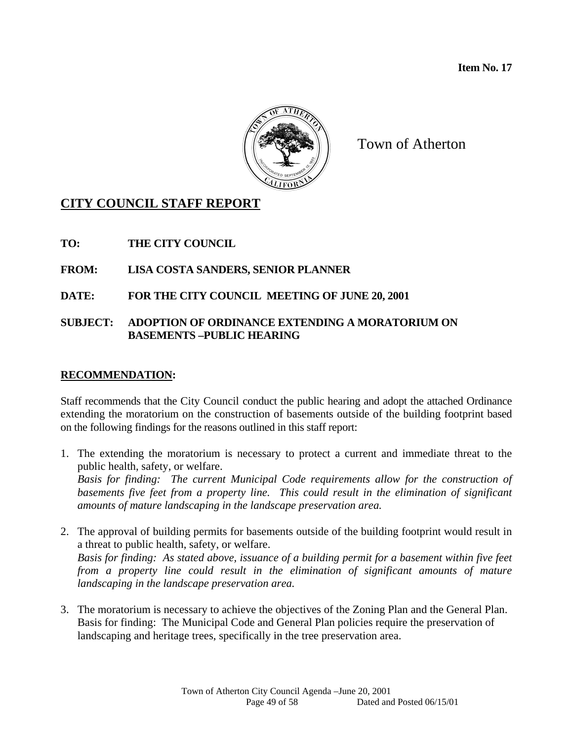**Item No. 17** 



Town of Atherton

# **CITY COUNCIL STAFF REPORT**

**TO: THE CITY COUNCIL** 

# **FROM: LISA COSTA SANDERS, SENIOR PLANNER**

# **DATE: FOR THE CITY COUNCIL MEETING OF JUNE 20, 2001**

#### **SUBJECT: ADOPTION OF ORDINANCE EXTENDING A MORATORIUM ON BASEMENTS –PUBLIC HEARING**

# **RECOMMENDATION:**

Staff recommends that the City Council conduct the public hearing and adopt the attached Ordinance extending the moratorium on the construction of basements outside of the building footprint based on the following findings for the reasons outlined in this staff report:

1. The extending the moratorium is necessary to protect a current and immediate threat to the public health, safety, or welfare. *Basis for finding: The current Municipal Code requirements allow for the construction of* 

*basements five feet from a property line. This could result in the elimination of significant amounts of mature landscaping in the landscape preservation area.* 

- 2. The approval of building permits for basements outside of the building footprint would result in a threat to public health, safety, or welfare. *Basis for finding: As stated above, issuance of a building permit for a basement within five feet*  from a property line could result in the elimination of significant amounts of mature *landscaping in the landscape preservation area.*
- 3. The moratorium is necessary to achieve the objectives of the Zoning Plan and the General Plan. Basis for finding: The Municipal Code and General Plan policies require the preservation of landscaping and heritage trees, specifically in the tree preservation area.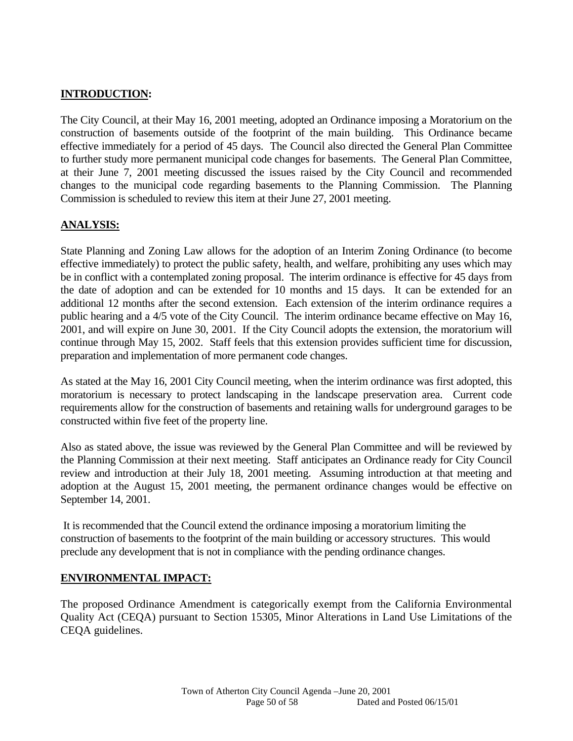# **INTRODUCTION:**

The City Council, at their May 16, 2001 meeting, adopted an Ordinance imposing a Moratorium on the construction of basements outside of the footprint of the main building. This Ordinance became effective immediately for a period of 45 days. The Council also directed the General Plan Committee to further study more permanent municipal code changes for basements. The General Plan Committee, at their June 7, 2001 meeting discussed the issues raised by the City Council and recommended changes to the municipal code regarding basements to the Planning Commission. The Planning Commission is scheduled to review this item at their June 27, 2001 meeting.

# **ANALYSIS:**

State Planning and Zoning Law allows for the adoption of an Interim Zoning Ordinance (to become effective immediately) to protect the public safety, health, and welfare, prohibiting any uses which may be in conflict with a contemplated zoning proposal. The interim ordinance is effective for 45 days from the date of adoption and can be extended for 10 months and 15 days. It can be extended for an additional 12 months after the second extension. Each extension of the interim ordinance requires a public hearing and a 4/5 vote of the City Council. The interim ordinance became effective on May 16, 2001, and will expire on June 30, 2001. If the City Council adopts the extension, the moratorium will continue through May 15, 2002. Staff feels that this extension provides sufficient time for discussion, preparation and implementation of more permanent code changes.

As stated at the May 16, 2001 City Council meeting, when the interim ordinance was first adopted, this moratorium is necessary to protect landscaping in the landscape preservation area. Current code requirements allow for the construction of basements and retaining walls for underground garages to be constructed within five feet of the property line.

Also as stated above, the issue was reviewed by the General Plan Committee and will be reviewed by the Planning Commission at their next meeting. Staff anticipates an Ordinance ready for City Council review and introduction at their July 18, 2001 meeting. Assuming introduction at that meeting and adoption at the August 15, 2001 meeting, the permanent ordinance changes would be effective on September 14, 2001.

 It is recommended that the Council extend the ordinance imposing a moratorium limiting the construction of basements to the footprint of the main building or accessory structures. This would preclude any development that is not in compliance with the pending ordinance changes.

# **ENVIRONMENTAL IMPACT:**

The proposed Ordinance Amendment is categorically exempt from the California Environmental Quality Act (CEQA) pursuant to Section 15305, Minor Alterations in Land Use Limitations of the CEQA guidelines.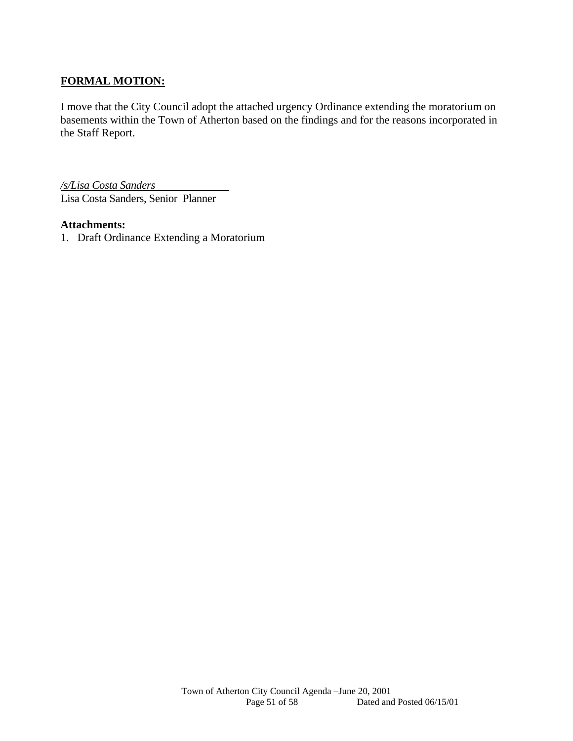# **FORMAL MOTION:**

I move that the City Council adopt the attached urgency Ordinance extending the moratorium on basements within the Town of Atherton based on the findings and for the reasons incorporated in the Staff Report.

*/s/Lisa Costa Sanders* Lisa Costa Sanders, Senior Planner

#### **Attachments:**

1. Draft Ordinance Extending a Moratorium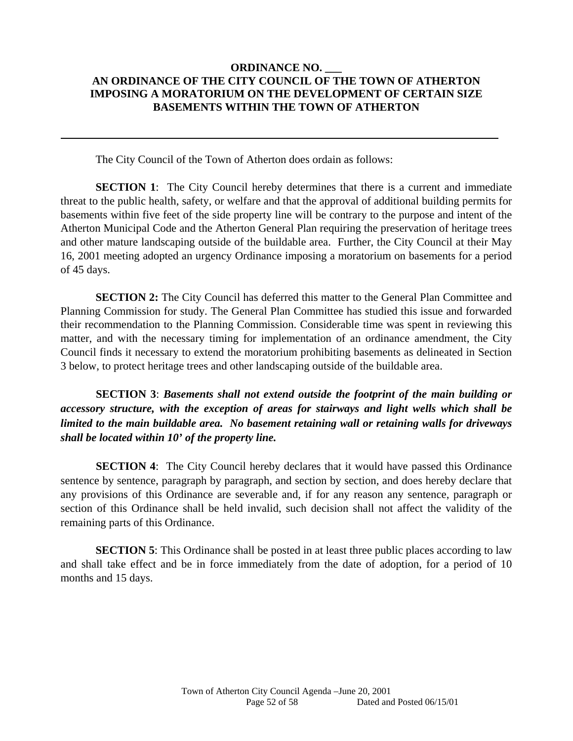#### **ORDINANCE NO. AN ORDINANCE OF THE CITY COUNCIL OF THE TOWN OF ATHERTON IMPOSING A MORATORIUM ON THE DEVELOPMENT OF CERTAIN SIZE BASEMENTS WITHIN THE TOWN OF ATHERTON**

The City Council of the Town of Atherton does ordain as follows:

 $\overline{a}$ 

**SECTION 1:** The City Council hereby determines that there is a current and immediate threat to the public health, safety, or welfare and that the approval of additional building permits for basements within five feet of the side property line will be contrary to the purpose and intent of the Atherton Municipal Code and the Atherton General Plan requiring the preservation of heritage trees and other mature landscaping outside of the buildable area. Further, the City Council at their May 16, 2001 meeting adopted an urgency Ordinance imposing a moratorium on basements for a period of 45 days.

**SECTION 2:** The City Council has deferred this matter to the General Plan Committee and Planning Commission for study. The General Plan Committee has studied this issue and forwarded their recommendation to the Planning Commission. Considerable time was spent in reviewing this matter, and with the necessary timing for implementation of an ordinance amendment, the City Council finds it necessary to extend the moratorium prohibiting basements as delineated in Section 3 below, to protect heritage trees and other landscaping outside of the buildable area.

**SECTION 3**: *Basements shall not extend outside the footprint of the main building or accessory structure, with the exception of areas for stairways and light wells which shall be limited to the main buildable area. No basement retaining wall or retaining walls for driveways shall be located within 10' of the property line.* 

**SECTION 4:** The City Council hereby declares that it would have passed this Ordinance sentence by sentence, paragraph by paragraph, and section by section, and does hereby declare that any provisions of this Ordinance are severable and, if for any reason any sentence, paragraph or section of this Ordinance shall be held invalid, such decision shall not affect the validity of the remaining parts of this Ordinance.

**SECTION 5**: This Ordinance shall be posted in at least three public places according to law and shall take effect and be in force immediately from the date of adoption, for a period of 10 months and 15 days.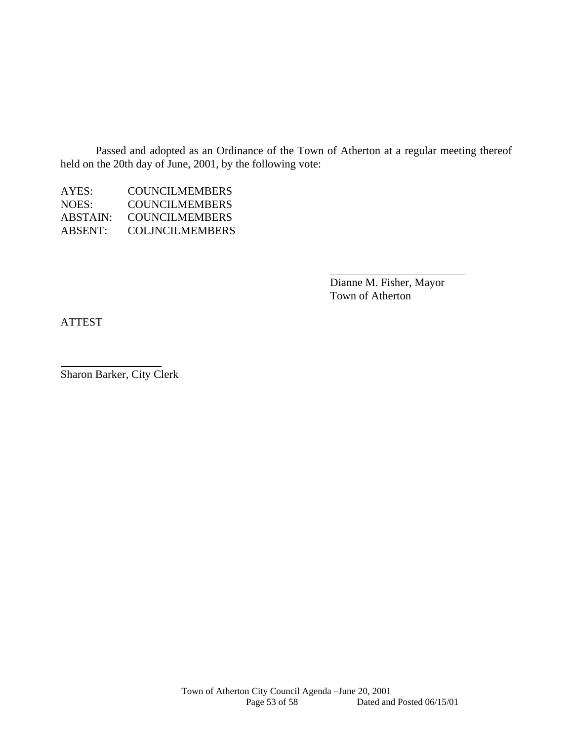Passed and adopted as an Ordinance of the Town of Atherton at a regular meeting thereof held on the 20th day of June, 2001, by the following vote:

AYES: COUNCILMEMBERS NOES: COUNCILMEMBERS<br>ABSTAIN: COUNCILMEMBERS **COUNCILMEMBERS** ABSENT: COLJNCILMEMBERS

> Dianne M. Fisher, Mayor Town of Atherton

ATTEST

 $\overline{a}$ 

Sharon Barker, City Clerk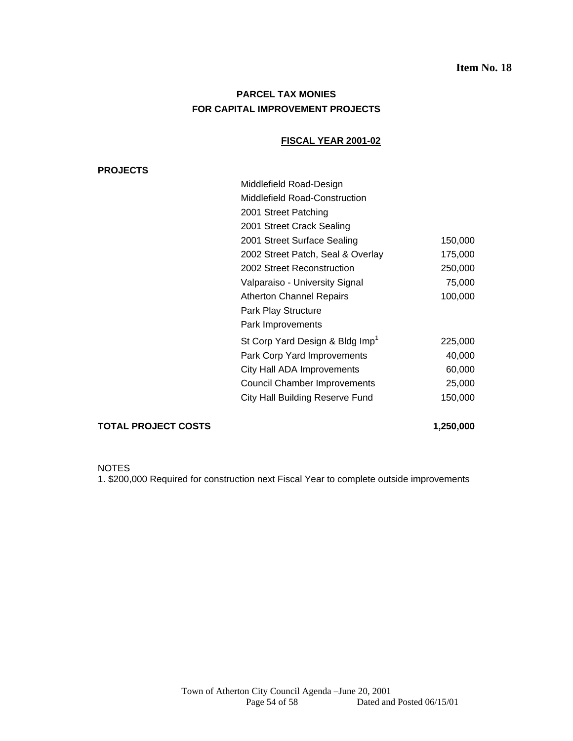# **PARCEL TAX MONIES FOR CAPITAL IMPROVEMENT PROJECTS**

#### **FISCAL YEAR 2001-02**

#### **PROJECTS**

| Middlefield Road-Design                     |         |
|---------------------------------------------|---------|
| <b>Middlefield Road-Construction</b>        |         |
| 2001 Street Patching                        |         |
| 2001 Street Crack Sealing                   |         |
| 2001 Street Surface Sealing                 | 150,000 |
| 2002 Street Patch, Seal & Overlay           | 175,000 |
| 2002 Street Reconstruction                  | 250,000 |
| Valparaiso - University Signal              | 75,000  |
| <b>Atherton Channel Repairs</b>             | 100,000 |
| Park Play Structure                         |         |
| Park Improvements                           |         |
| St Corp Yard Design & Bldg Imp <sup>1</sup> | 225,000 |
| Park Corp Yard Improvements                 | 40,000  |
| City Hall ADA Improvements                  | 60,000  |
| <b>Council Chamber Improvements</b>         | 25,000  |
| <b>City Hall Building Reserve Fund</b>      | 150,000 |
|                                             |         |

#### **TOTAL PROJECT COSTS** 1,250,000

NOTES

1. \$200,000 Required for construction next Fiscal Year to complete outside improvements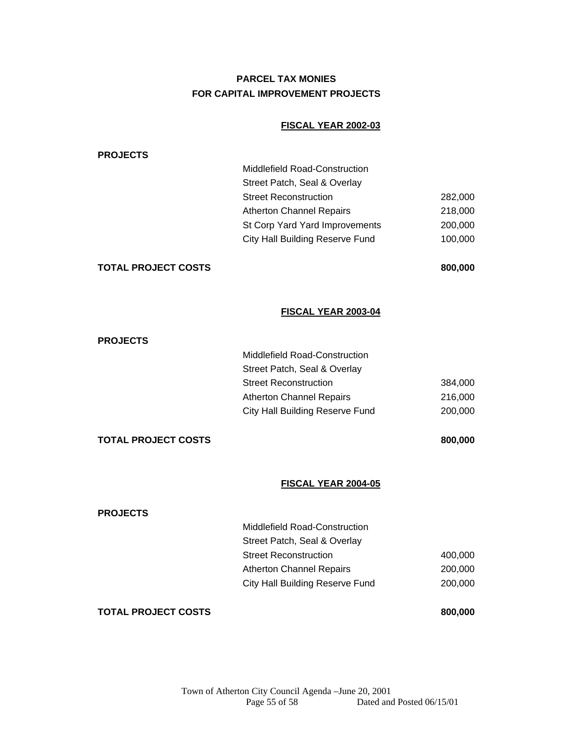# **PARCEL TAX MONIES FOR CAPITAL IMPROVEMENT PROJECTS**

#### **FISCAL YEAR 2002-03**

| <b>PROJECTS</b>            |                                        |         |
|----------------------------|----------------------------------------|---------|
|                            | Middlefield Road-Construction          |         |
|                            | Street Patch, Seal & Overlay           |         |
|                            | <b>Street Reconstruction</b>           | 282,000 |
|                            | <b>Atherton Channel Repairs</b>        | 218,000 |
|                            | St Corp Yard Yard Improvements         | 200,000 |
|                            | <b>City Hall Building Reserve Fund</b> | 100,000 |
| <b>TOTAL PROJECT COSTS</b> |                                        | 800,000 |
|                            | FISCAL YEAR 2003-04                    |         |
| <b>PROJECTS</b>            |                                        |         |
|                            |                                        |         |
|                            | <b>Middlefield Road-Construction</b>   |         |
|                            | Street Patch, Seal & Overlay           |         |
|                            | <b>Street Reconstruction</b>           | 384,000 |
|                            | <b>Atherton Channel Repairs</b>        | 216,000 |

#### **TOTAL PROJECT COSTS** 800,000

#### **FISCAL YEAR 2004-05**

| <b>TOTAL PROJECT COSTS</b> |                                 | 800,000 |
|----------------------------|---------------------------------|---------|
|                            | City Hall Building Reserve Fund | 200,000 |
|                            | <b>Atherton Channel Repairs</b> | 200,000 |
|                            | <b>Street Reconstruction</b>    | 400,000 |
|                            | Street Patch, Seal & Overlay    |         |
|                            | Middlefield Road-Construction   |         |
| <b>PROJECTS</b>            |                                 |         |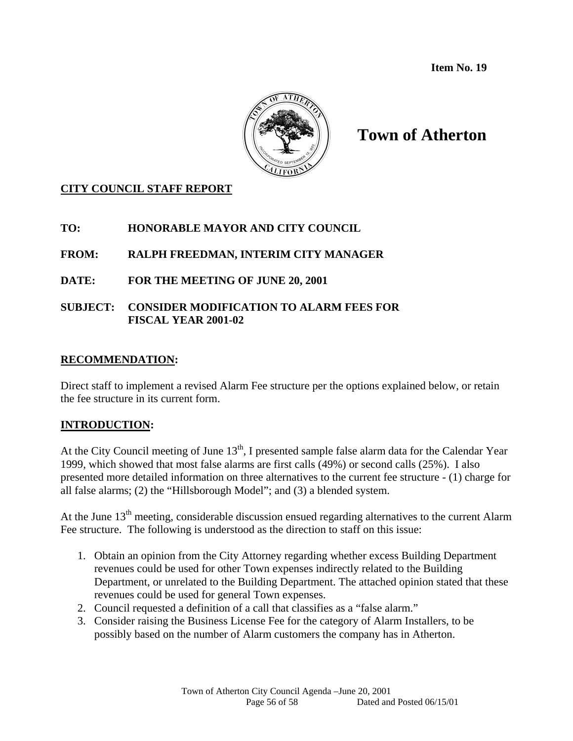**Item No. 19** 



# **Town of Atherton**

# **CITY COUNCIL STAFF REPORT**

# **TO: HONORABLE MAYOR AND CITY COUNCIL**

# **FROM: RALPH FREEDMAN, INTERIM CITY MANAGER**

# **DATE: FOR THE MEETING OF JUNE 20, 2001**

# **SUBJECT: CONSIDER MODIFICATION TO ALARM FEES FOR FISCAL YEAR 2001-02**

# **RECOMMENDATION:**

Direct staff to implement a revised Alarm Fee structure per the options explained below, or retain the fee structure in its current form.

# **INTRODUCTION:**

At the City Council meeting of June  $13<sup>th</sup>$ , I presented sample false alarm data for the Calendar Year 1999, which showed that most false alarms are first calls (49%) or second calls (25%). I also presented more detailed information on three alternatives to the current fee structure - (1) charge for all false alarms; (2) the "Hillsborough Model"; and (3) a blended system.

At the June  $13<sup>th</sup>$  meeting, considerable discussion ensued regarding alternatives to the current Alarm Fee structure. The following is understood as the direction to staff on this issue:

- 1. Obtain an opinion from the City Attorney regarding whether excess Building Department revenues could be used for other Town expenses indirectly related to the Building Department, or unrelated to the Building Department. The attached opinion stated that these revenues could be used for general Town expenses.
- 2. Council requested a definition of a call that classifies as a "false alarm."
- 3. Consider raising the Business License Fee for the category of Alarm Installers, to be possibly based on the number of Alarm customers the company has in Atherton.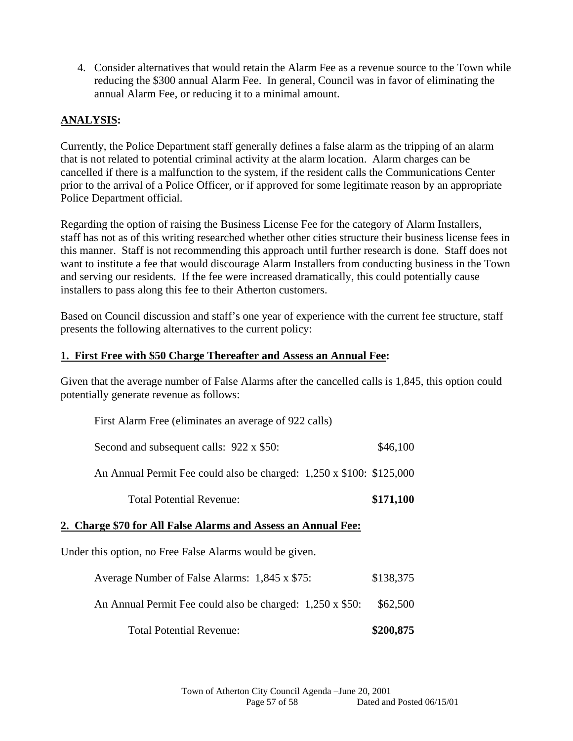4. Consider alternatives that would retain the Alarm Fee as a revenue source to the Town while reducing the \$300 annual Alarm Fee. In general, Council was in favor of eliminating the annual Alarm Fee, or reducing it to a minimal amount.

# **ANALYSIS:**

Currently, the Police Department staff generally defines a false alarm as the tripping of an alarm that is not related to potential criminal activity at the alarm location. Alarm charges can be cancelled if there is a malfunction to the system, if the resident calls the Communications Center prior to the arrival of a Police Officer, or if approved for some legitimate reason by an appropriate Police Department official.

Regarding the option of raising the Business License Fee for the category of Alarm Installers, staff has not as of this writing researched whether other cities structure their business license fees in this manner. Staff is not recommending this approach until further research is done. Staff does not want to institute a fee that would discourage Alarm Installers from conducting business in the Town and serving our residents. If the fee were increased dramatically, this could potentially cause installers to pass along this fee to their Atherton customers.

Based on Council discussion and staff's one year of experience with the current fee structure, staff presents the following alternatives to the current policy:

# **1. First Free with \$50 Charge Thereafter and Assess an Annual Fee:**

Given that the average number of False Alarms after the cancelled calls is 1,845, this option could potentially generate revenue as follows:

| Total Potential Revenue:                                             | \$171,100 |  |
|----------------------------------------------------------------------|-----------|--|
|                                                                      |           |  |
| An Annual Permit Fee could also be charged: 1,250 x \$100: \$125,000 |           |  |
| Second and subsequent calls: 922 x \$50:                             | \$46,100  |  |
| First Alarm Free (eliminates an average of 922 calls)                |           |  |

# **2. Charge \$70 for All False Alarms and Assess an Annual Fee:**

Under this option, no Free False Alarms would be given.

| Average Number of False Alarms: 1,845 x \$75: |  | \$138,375 |
|-----------------------------------------------|--|-----------|
|-----------------------------------------------|--|-----------|

- An Annual Permit Fee could also be charged: 1,250 x \$50: \$62,500
	- Total Potential Revenue: **\$200,875**